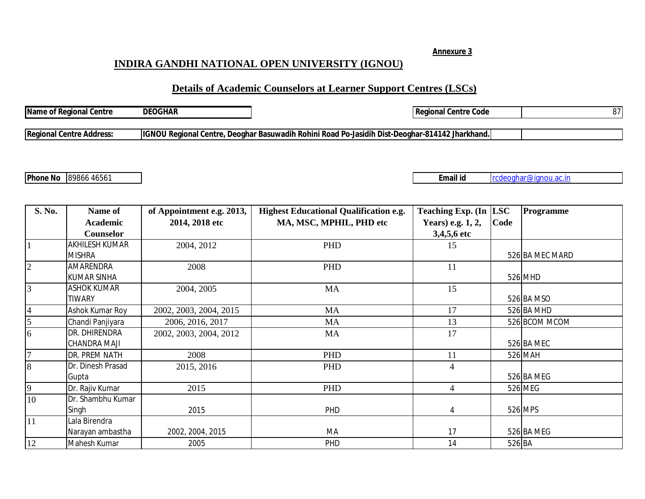## **INDIRA GANDHI NATIONAL OPEN UNIVERSITY (IGNOU)**

## **Details of Academic Counselors at Learner Support Centres (LSCs)**

| <b>Name of Regional Centre</b> | <b>DEOGHAR</b> |                                                                      | tional Centre Code<br>Real               | ∩− |
|--------------------------------|----------------|----------------------------------------------------------------------|------------------------------------------|----|
|                                |                |                                                                      |                                          |    |
| Regional Centre Address:       | <b>IIGNOL</b>  | U Regional Centre, Deoghar Basuwadih Rohini Road'<br>$^{\circ}$ Po-. | o-Jasidih Dist-Deoghar-814142 Jharkhand. |    |
|                                |                |                                                                      |                                          |    |

**Phone No** 89866 46561 **Email id Email id r**cdeoghar@ignou.ac.in

| S. No.                  | Name of            | of Appointment e.g. 2013, | <b>Highest Educational Qualification e.g.</b> | <b>Teaching Exp. (In</b> | <b>LSC</b> | Programme       |
|-------------------------|--------------------|---------------------------|-----------------------------------------------|--------------------------|------------|-----------------|
|                         | <b>Academic</b>    | 2014, 2018 etc            | MA, MSC, MPHIL, PHD etc                       | Years) e.g. 1, 2,        | Code       |                 |
|                         | Counselor          |                           |                                               | 3,4,5,6 etc              |            |                 |
| $\mathbf{1}$            | AKHILESH KUMAR     | 2004, 2012                | PHD                                           | 15                       |            |                 |
|                         | <b>MISHRA</b>      |                           |                                               |                          |            | 526 BA MEC MARD |
| $\overline{2}$          | AMARENDRA          | 2008                      | PHD                                           | 11                       |            |                 |
|                         | <b>KUMAR SINHA</b> |                           |                                               |                          |            | 526 MHD         |
| $\overline{3}$          | <b>ASHOK KUMAR</b> | 2004, 2005                | MA                                            | 15                       |            |                 |
|                         | <b>TIWARY</b>      |                           |                                               |                          |            | 526 BA MSO      |
| $\overline{\mathbf{4}}$ | Ashok Kumar Roy    | 2002, 2003, 2004, 2015    | MA                                            | 17                       |            | 526 BA MHD      |
| 5                       | Chandi Panjiyara   | 2006, 2016, 2017          | <b>MA</b>                                     | 13                       |            | 526 BCOM MCOM   |
| $\overline{6}$          | DR. DHIRENDRA      | 2002, 2003, 2004, 2012    | MA                                            | 17                       |            |                 |
|                         | CHANDRA MAJI       |                           |                                               |                          |            | 526 BA MEC      |
| $\overline{7}$          | DR. PREM NATH      | 2008                      | PHD                                           | 11                       |            | 526 MAH         |
| 8                       | Dr. Dinesh Prasad  | 2015, 2016                | PHD                                           | $\overline{4}$           |            |                 |
|                         | Gupta              |                           |                                               |                          |            | 526 BA MEG      |
| $\overline{9}$          | Dr. Rajiv Kumar    | 2015                      | PHD                                           | $\overline{4}$           |            | 526 MEG         |
| 10                      | Dr. Shambhu Kumar  |                           |                                               |                          |            |                 |
|                         | Singh              | 2015                      | PHD                                           | 4                        |            | 526 MPS         |
| 11                      | Lala Birendra      |                           |                                               |                          |            |                 |
|                         | Narayan ambastha   | 2002, 2004, 2015          | MA                                            | 17                       |            | 526 BA MEG      |
| 12                      | Mahesh Kumar       | 2005                      | PHD                                           | 14                       | 526 BA     |                 |

**Annexure 3**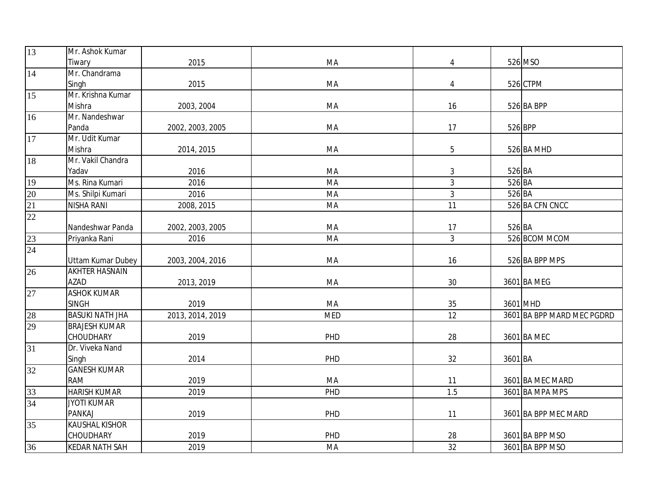| 13                                 | Mr. Ashok Kumar          |                  |            |                |         |                            |
|------------------------------------|--------------------------|------------------|------------|----------------|---------|----------------------------|
|                                    | Tiwary                   | 2015             | MA         | 4              |         | 526 MSO                    |
| 14                                 | Mr. Chandrama            |                  |            |                |         |                            |
|                                    | Singh                    | 2015             | MA         | 4              |         | 526 CTPM                   |
| $\overline{15}$                    | Mr. Krishna Kumar        |                  |            |                |         |                            |
|                                    | Mishra                   | 2003, 2004       | MA         | 16             |         | 526 BA BPP                 |
| 16                                 | Mr. Nandeshwar           |                  |            |                |         |                            |
|                                    | Panda                    | 2002, 2003, 2005 | MA         | 17             |         | 526 BPP                    |
| 17                                 | Mr. Udit Kumar           |                  |            |                |         |                            |
|                                    | Mishra                   | 2014, 2015       | MA         | $\overline{5}$ |         | 526 BA MHD                 |
| 18                                 | Mr. Vakil Chandra        |                  |            |                |         |                            |
|                                    | Yadav                    | 2016             | MA         | 3              | 526 BA  |                            |
|                                    | Ms. Rina Kumari          | 2016             | MA         | 3              | 526 BA  |                            |
|                                    | Ms. Shilpi Kumari        | 2016             | MA         | $\mathfrak{Z}$ | 526 BA  |                            |
| $\frac{19}{20}$<br>$\frac{21}{22}$ | <b>NISHA RANI</b>        | 2008, 2015       | MA         | 11             |         | 526 BA CFN CNCC            |
|                                    |                          |                  |            |                |         |                            |
|                                    | Nandeshwar Panda         | 2002, 2003, 2005 | MA         | 17             | 526 BA  |                            |
| $\frac{23}{24}$                    | Priyanka Rani            | 2016             | MA         | $\mathfrak{Z}$ |         | 526 BCOM MCOM              |
|                                    |                          |                  |            |                |         |                            |
|                                    | <b>Uttam Kumar Dubey</b> | 2003, 2004, 2016 | MA         | 16             |         | 526 BA BPP MPS             |
| $\overline{26}$                    | <b>AKHTER HASNAIN</b>    |                  |            |                |         |                            |
|                                    | <b>AZAD</b>              | 2013, 2019       | MA         | 30             |         | 3601 BA MEG                |
| 27                                 | <b>ASHOK KUMAR</b>       |                  |            |                |         |                            |
|                                    | <b>SINGH</b>             | 2019             | MA         | 35             |         | 3601 MHD                   |
| $\frac{28}{29}$                    | <b>BASUKI NATH JHA</b>   | 2013, 2014, 2019 | <b>MED</b> | 12             |         | 3601 BA BPP MARD MEC PGDRD |
|                                    | <b>BRAJESH KUMAR</b>     |                  |            |                |         |                            |
|                                    | <b>CHOUDHARY</b>         | 2019             | PHD        | 28             |         | 3601 BA MEC                |
| 31                                 | Dr. Viveka Nand          |                  |            |                |         |                            |
|                                    | Singh                    | 2014             | PHD        | 32             | 3601 BA |                            |
| 32                                 | <b>GANESH KUMAR</b>      |                  |            |                |         |                            |
|                                    | <b>RAM</b>               | 2019             | MA         | 11             |         | 3601 BA MEC MARD           |
| 33                                 | <b>HARISH KUMAR</b>      | 2019             | PHD        | 1.5            |         | 3601 BA MPA MPS            |
| 34                                 | <b>JYOTI KUMAR</b>       |                  |            |                |         |                            |
|                                    | <b>PANKAJ</b>            | 2019             | PHD        | 11             |         | 3601 BA BPP MEC MARD       |
| $\overline{35}$                    | <b>KAUSHAL KISHOR</b>    |                  |            |                |         |                            |
|                                    | <b>CHOUDHARY</b>         | 2019             | PHD        | 28             |         | 3601 BA BPP MSO            |
| 36                                 | <b>KEDAR NATH SAH</b>    | 2019             | MA         | 32             |         | 3601 BA BPP MSO            |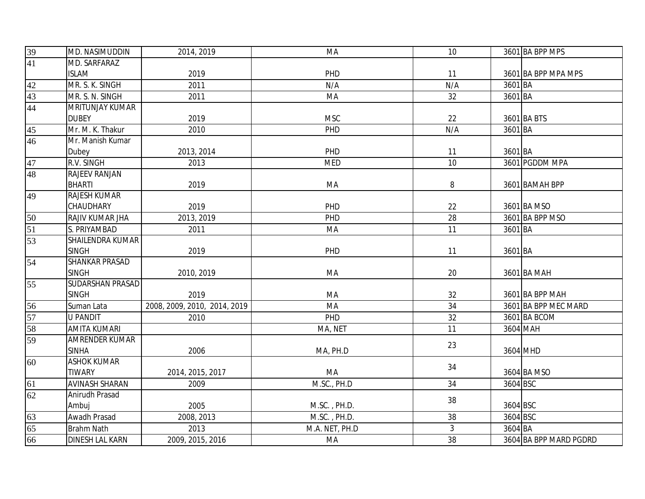| $\frac{39}{41}$ | MD. NASIMUDDIN          | 2014, 2019                   | MA             | 10             |          | 3601 BA BPP MPS        |
|-----------------|-------------------------|------------------------------|----------------|----------------|----------|------------------------|
|                 | MD. SARFARAZ            |                              |                |                |          |                        |
|                 | <b>ISLAM</b>            | 2019                         | PHD            | 11             |          | 3601 BA BPP MPA MPS    |
| 42              | MR. S. K. SINGH         | 2011                         | N/A            | N/A            | 3601 BA  |                        |
| 43              | MR. S. N. SINGH         | 2011                         | MA             | 32             | 3601 BA  |                        |
| 44              | <b>MRITUNJAY KUMAR</b>  |                              |                |                |          |                        |
|                 | <b>DUBEY</b>            | 2019                         | <b>MSC</b>     | 22             |          | 3601 BA BTS            |
| $\overline{45}$ | Mr. M. K. Thakur        | 2010                         | PHD            | N/A            | 3601 BA  |                        |
| $\overline{46}$ | Mr. Manish Kumar        |                              |                |                |          |                        |
|                 | Dubey                   | 2013, 2014                   | PHD            | 11             | 3601 BA  |                        |
| $\frac{47}{48}$ | R.V. SINGH              | 2013                         | <b>MED</b>     | 10             |          | 3601 PGDDM MPA         |
|                 | RAJEEV RANJAN           |                              |                |                |          |                        |
|                 | <b>BHARTI</b>           | 2019                         | MA             | 8              |          | 3601 BAMAH BPP         |
| 49              | <b>RAJESH KUMAR</b>     |                              |                |                |          |                        |
|                 | CHAUDHARY               | 2019                         | PHD            | 22             |          | 3601 BA MSO            |
| 50              | RAJIV KUMAR JHA         | 2013, 2019                   | PHD            | 28             |          | 3601 BA BPP MSO        |
| $\overline{51}$ | S. PRIYAMBAD            | 2011                         | MA             | 11             | 3601 BA  |                        |
| $\overline{53}$ | <b>SHAILENDRA KUMAR</b> |                              |                |                |          |                        |
|                 | <b>SINGH</b>            | 2019                         | PHD            | 11             | 3601 BA  |                        |
| 54              | <b>SHANKAR PRASAD</b>   |                              |                |                |          |                        |
|                 | <b>SINGH</b>            | 2010, 2019                   | MA             | 20             |          | 3601 BA MAH            |
| 55              | SUDARSHAN PRASAD        |                              |                |                |          |                        |
|                 | <b>SINGH</b>            | 2019                         | MA             | 32             |          | 3601 BA BPP MAH        |
| 56              | Suman Lata              | 2008, 2009, 2010, 2014, 2019 | MA             | 34             |          | 3601 BA BPP MEC MARD   |
| 57              | <b>U PANDIT</b>         | 2010                         | PHD            | 32             |          | 3601 BA BCOM           |
| 58              | <b>AMITA KUMARI</b>     |                              | MA, NET        | 11             |          | 3604 MAH               |
| 59              | <b>AMRENDER KUMAR</b>   |                              |                | 23             |          |                        |
|                 | <b>SINHA</b>            | 2006                         | MA, PH.D       |                |          | 3604 MHD               |
| 60              | <b>ASHOK KUMAR</b>      |                              |                | 34             |          |                        |
|                 | <b>TIWARY</b>           | 2014, 2015, 2017             | MA             |                |          | 3604 BA MSO            |
| 61              | <b>AVINASH SHARAN</b>   | 2009                         | M.SC., PH.D    | 34             | 3604 BSC |                        |
| 62              | Anirudh Prasad          |                              |                | 38             |          |                        |
|                 | Ambuj                   | 2005                         | M.SC., PH.D.   |                | 3604 BSC |                        |
| $\frac{63}{65}$ | Awadh Prasad            | 2008, 2013                   | M.SC., PH.D.   | 38             | 3604 BSC |                        |
|                 | <b>Brahm Nath</b>       | 2013                         | M.A. NET, PH.D | $\mathfrak{Z}$ | 3604 BA  |                        |
| 66              | <b>DINESH LAL KARN</b>  | 2009, 2015, 2016             | MA             | 38             |          | 3604 BA BPP MARD PGDRD |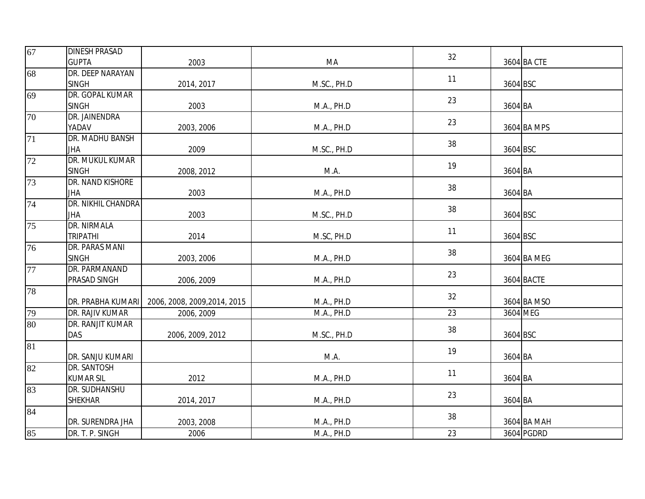| 67              | <b>DINESH PRASAD</b> |                              |             | 32 |          |             |
|-----------------|----------------------|------------------------------|-------------|----|----------|-------------|
|                 | <b>GUPTA</b>         | 2003                         | MA          |    |          | 3604 BA CTE |
| 68              | DR. DEEP NARAYAN     |                              |             |    |          |             |
|                 | <b>SINGH</b>         | 2014, 2017                   | M.SC., PH.D | 11 | 3604 BSC |             |
| 69              | DR. GOPAL KUMAR      |                              |             | 23 |          |             |
|                 | <b>SINGH</b>         | 2003                         | M.A., PH.D  |    | 3604 BA  |             |
| 70              | DR. JAINENDRA        |                              |             | 23 |          |             |
|                 | YADAV                | 2003, 2006                   | M.A., PH.D  |    |          | 3604 BA MPS |
| 71              | DR. MADHU BANSH      |                              |             | 38 |          |             |
|                 | JHA                  | 2009                         | M.SC., PH.D |    | 3604 BSC |             |
| 72              | DR. MUKUL KUMAR      |                              |             | 19 |          |             |
|                 | <b>SINGH</b>         | 2008, 2012                   | M.A.        |    | 3604 BA  |             |
| 73              | DR. NAND KISHORE     |                              |             | 38 |          |             |
|                 | JHA                  | 2003                         | M.A., PH.D  |    | 3604 BA  |             |
| 74              | DR. NIKHIL CHANDRA   |                              |             | 38 |          |             |
|                 | JHA                  | 2003                         | M.SC., PH.D |    | 3604 BSC |             |
| $\overline{75}$ | <b>DR. NIRMALA</b>   |                              |             | 11 |          |             |
|                 | <b>TRIPATHI</b>      | 2014                         | M.SC, PH.D  |    | 3604 BSC |             |
| 76              | DR. PARAS MANI       |                              |             | 38 |          |             |
|                 | <b>SINGH</b>         | 2003, 2006                   | M.A., PH.D  |    |          | 3604 BA MEG |
| 77              | DR. PARMANAND        |                              |             | 23 |          |             |
|                 | PRASAD SINGH         | 2006, 2009                   | M.A., PH.D  |    |          | 3604 BACTE  |
| 78              |                      |                              |             | 32 |          |             |
|                 | DR. PRABHA KUMARI    | 2006, 2008, 2009, 2014, 2015 | M.A., PH.D  |    |          | 3604 BA MSO |
| 79              | DR. RAJIV KUMAR      | 2006, 2009                   | M.A., PH.D  | 23 |          | 3604 MEG    |
| 80              | DR. RANJIT KUMAR     |                              |             | 38 |          |             |
|                 | DAS                  | 2006, 2009, 2012             | M.SC., PH.D |    | 3604 BSC |             |
| 81              |                      |                              |             | 19 |          |             |
|                 | DR. SANJU KUMARI     |                              | M.A.        |    | 3604 BA  |             |
| 82              | DR. SANTOSH          |                              |             | 11 |          |             |
|                 | <b>KUMAR SIL</b>     | 2012                         | M.A., PH.D  |    | 3604 BA  |             |
| 83              | DR. SUDHANSHU        |                              |             | 23 |          |             |
|                 | <b>SHEKHAR</b>       | 2014, 2017                   | M.A., PH.D  |    | 3604 BA  |             |
| 84              |                      |                              |             | 38 |          |             |
|                 | DR. SURENDRA JHA     | 2003, 2008                   | M.A., PH.D  |    |          | 3604 BA MAH |
| 85              | DR. T. P. SINGH      | 2006                         | M.A., PH.D  | 23 |          | 3604 PGDRD  |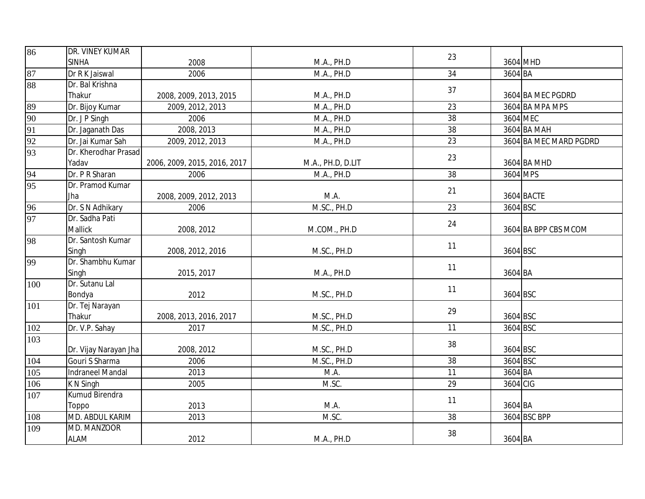| 86              | DR. VINEY KUMAR       |                              |                   | 23 |          |                        |
|-----------------|-----------------------|------------------------------|-------------------|----|----------|------------------------|
|                 | <b>SINHA</b>          | 2008                         | M.A., PH.D        |    |          | 3604 MHD               |
| 87              | Dr R K Jaiswal        | 2006                         | M.A., PH.D        | 34 | 3604 BA  |                        |
| 88              | Dr. Bal Krishna       |                              |                   | 37 |          |                        |
|                 | Thakur                | 2008, 2009, 2013, 2015       | M.A., PH.D        |    |          | 3604 BA MEC PGDRD      |
| 89              | Dr. Bijoy Kumar       | 2009, 2012, 2013             | M.A., PH.D        | 23 |          | 3604 BA MPA MPS        |
| 90              | Dr. J P Singh         | 2006                         | M.A., PH.D        | 38 | 3604 MEC |                        |
| 91              | Dr. Jaganath Das      | 2008, 2013                   | M.A., PH.D        | 38 |          | 3604 BA MAH            |
| 92              | Dr. Jai Kumar Sah     | 2009, 2012, 2013             | M.A., PH.D        | 23 |          | 3604 BA MEC MARD PGDRD |
| 93              | Dr. Kherodhar Prasad  |                              |                   | 23 |          |                        |
|                 | Yadav                 | 2006, 2009, 2015, 2016, 2017 | M.A., PH.D, D.LIT |    |          | 3604 BA MHD            |
| $\frac{94}{95}$ | Dr. P R Sharan        | 2006                         | M.A., PH.D        | 38 | 3604 MPS |                        |
|                 | Dr. Pramod Kumar      |                              |                   | 21 |          |                        |
|                 | Jha                   | 2008, 2009, 2012, 2013       | M.A.              |    |          | 3604 BACTE             |
| $\frac{96}{97}$ | Dr. S N Adhikary      | 2006                         | M.SC., PH.D       | 23 | 3604 BSC |                        |
|                 | Dr. Sadha Pati        |                              |                   | 24 |          |                        |
|                 | Mallick               | 2008, 2012                   | M.COM., PH.D      |    |          | 3604 BA BPP CBS MCOM   |
| 98              | Dr. Santosh Kumar     |                              |                   | 11 |          |                        |
|                 | Singh                 | 2008, 2012, 2016             | M.SC., PH.D       |    | 3604 BSC |                        |
| 99              | Dr. Shambhu Kumar     |                              |                   | 11 |          |                        |
|                 | Singh                 | 2015, 2017                   | M.A., PH.D        |    | 3604 BA  |                        |
| 100             | Dr. Sutanu Lal        |                              |                   | 11 |          |                        |
|                 | Bondya                | 2012                         | M.SC., PH.D       |    | 3604 BSC |                        |
| 101             | Dr. Tej Narayan       |                              |                   | 29 |          |                        |
|                 | Thakur                | 2008, 2013, 2016, 2017       | M.SC., PH.D       |    | 3604 BSC |                        |
| 102             | Dr. V.P. Sahay        | 2017                         | M.SC., PH.D       | 11 | 3604 BSC |                        |
| 103             |                       |                              |                   | 38 |          |                        |
|                 | Dr. Vijay Narayan Jha | 2008, 2012                   | M.SC., PH.D       |    | 3604 BSC |                        |
| 104             | Gouri S Sharma        | 2006                         | M.SC., PH.D       | 38 | 3604 BSC |                        |
| 105             | Indraneel Mandal      | 2013                         | M.A.              | 11 | 3604 BA  |                        |
| 106             | K N Singh             | 2005                         | M.SC.             | 29 | 3604 CIG |                        |
| 107             | Kumud Birendra        |                              |                   | 11 |          |                        |
|                 | Toppo                 | 2013                         | M.A.              |    | 3604 BA  |                        |
| 108             | MD. ABDUL KARIM       | 2013                         | M.SC.             | 38 |          | 3604 BSC BPP           |
| 109             | MD. MANZOOR           |                              |                   | 38 |          |                        |
|                 | <b>ALAM</b>           | 2012                         | M.A., PH.D        |    | 3604 BA  |                        |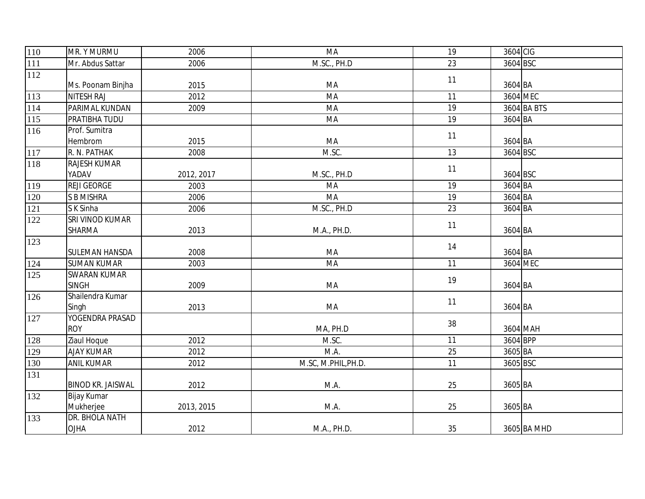| 110          | MR. Y MURMU              | 2006       | MA                  | 19 | 3604 CIG    |
|--------------|--------------------------|------------|---------------------|----|-------------|
| 111          | Mr. Abdus Sattar         | 2006       | M.SC., PH.D         | 23 | 3604 BSC    |
| 112          |                          |            |                     | 11 |             |
|              | Ms. Poonam Binjha        | 2015       | MA                  |    | 3604 BA     |
| 113          | <b>NITESH RAJ</b>        | 2012       | MA                  | 11 | 3604 MEC    |
| 114          | PARIMAL KUNDAN           | 2009       | MA                  | 19 | 3604 BA BTS |
| 115          | PRATIBHA TUDU            |            | MA                  | 19 | 3604 BA     |
| 116          | Prof. Sumitra            |            |                     | 11 |             |
|              | Hembrom                  | 2015       | MA                  |    | 3604 BA     |
| 117          | R. N. PATHAK             | 2008       | M.SC.               | 13 | 3604 BSC    |
| 118          | <b>RAJESH KUMAR</b>      |            |                     | 11 |             |
|              | YADAV                    | 2012, 2017 | M.SC., PH.D         |    | 3604 BSC    |
| 119          | <b>REJI GEORGE</b>       | 2003       | MA                  | 19 | $3604$ BA   |
| 120          | <b>S B MISHRA</b>        | 2006       | MA                  | 19 | 3604 BA     |
| 121          | S K Sinha                | 2006       | M.SC., PH.D         | 23 | 3604 BA     |
| 122          | SRI VINOD KUMAR          |            |                     | 11 |             |
|              | <b>SHARMA</b>            | 2013       | M.A., PH.D.         |    | 3604 BA     |
| 123          |                          |            |                     | 14 |             |
|              | <b>SULEMAN HANSDA</b>    | 2008       | MA                  |    | 3604 BA     |
| 124          | <b>SUMAN KUMAR</b>       | 2003       | MA                  | 11 | 3604 MEC    |
| 125          | <b>SWARAN KUMAR</b>      |            |                     | 19 |             |
|              | <b>SINGH</b>             | 2009       | MA                  |    | 3604 BA     |
| 126          | Shailendra Kumar         |            |                     | 11 |             |
|              | Singh                    | 2013       | MA                  |    | 3604 BA     |
| 127          | YOGENDRA PRASAD          |            |                     | 38 |             |
|              | <b>ROY</b>               |            | MA, PH.D            |    | 3604 MAH    |
| 128          | Ziaul Hoque              | 2012       | M.SC.               | 11 | 3604 BPP    |
| 129          | <b>AJAY KUMAR</b>        | 2012       | M.A.                | 25 | 3605 BA     |
| 130          | <b>ANIL KUMAR</b>        | 2012       | M.SC, M.PHIL, PH.D. | 11 | 3605 BSC    |
| 131          |                          |            |                     |    |             |
|              | <b>BINOD KR. JAISWAL</b> | 2012       | M.A.                | 25 | 3605 BA     |
| $\sqrt{132}$ | Bijay Kumar              |            |                     |    |             |
|              | Mukherjee                | 2013, 2015 | M.A.                | 25 | 3605 BA     |
| 133          | DR. BHOLA NATH           |            |                     |    |             |
|              | <b>OJHA</b>              | 2012       | M.A., PH.D.         | 35 | 3605 BA MHD |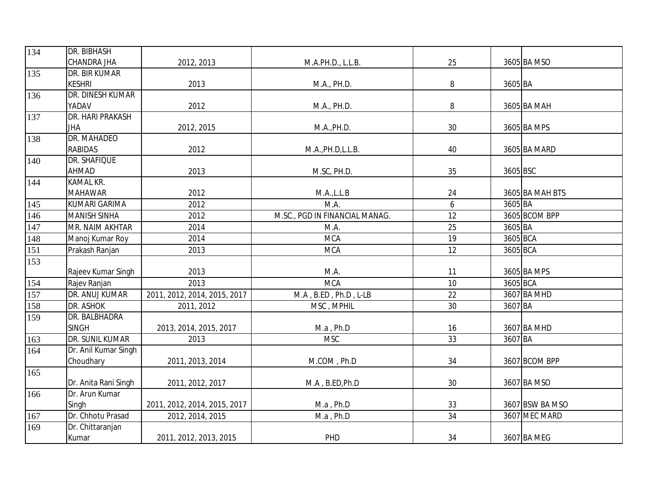| 134 | DR. BIBHASH          |                              |                                |    |          |                 |
|-----|----------------------|------------------------------|--------------------------------|----|----------|-----------------|
|     | <b>CHANDRA JHA</b>   | 2012, 2013                   | M.A.PH.D., L.L.B.              | 25 |          | 3605 BA MSO     |
| 135 | DR. BIR KUMAR        |                              |                                |    |          |                 |
|     | <b>KESHRI</b>        | 2013                         | M.A., PH.D.                    | 8  | 3605 BA  |                 |
| 136 | DR. DINESH KUMAR     |                              |                                |    |          |                 |
|     | YADAV                | 2012                         | M.A., PH.D.                    | 8  |          | 3605 BA MAH     |
| 137 | DR. HARI PRAKASH     |                              |                                |    |          |                 |
|     | <b>JHA</b>           | 2012, 2015                   | M.A., PH.D.                    | 30 |          | 3605 BA MPS     |
| 138 | DR. MAHADEO          |                              |                                |    |          |                 |
|     | <b>RABIDAS</b>       | 2012                         | M.A., PH.D, L.L.B.             | 40 |          | 3605 BA MARD    |
| 140 | DR. SHAFIQUE         |                              |                                |    |          |                 |
|     | <b>AHMAD</b>         | 2013                         | M.SC, PH.D.                    | 35 | 3605 BSC |                 |
| 144 | <b>KAMAL KR.</b>     |                              |                                |    |          |                 |
|     | <b>MAHAWAR</b>       | 2012                         | M.A., L.L.B                    | 24 |          | 3605 BA MAH BTS |
| 145 | <b>KUMARI GARIMA</b> | 2012                         | M.A.                           | 6  | 3605 BA  |                 |
| 146 | <b>MANISH SINHA</b>  | 2012                         | M.SC., PGD IN FINANCIAL MANAG. | 12 |          | 3605 BCOM BPP   |
| 147 | MR. NAIM AKHTAR      | 2014                         | M.A.                           | 25 | 3605 BA  |                 |
| 148 | Manoj Kumar Roy      | 2014                         | <b>MCA</b>                     | 19 | 3605 BCA |                 |
| 151 | Prakash Ranjan       | 2013                         | <b>MCA</b>                     | 12 | 3605 BCA |                 |
| 153 |                      |                              |                                |    |          |                 |
|     | Rajeev Kumar Singh   | 2013                         | M.A.                           | 11 |          | 3605 BA MPS     |
| 154 | Rajev Ranjan         | 2013                         | <b>MCA</b>                     | 10 | 3605 BCA |                 |
| 157 | DR. ANUJ KUMAR       | 2011, 2012, 2014, 2015, 2017 | M.A, B.ED, Ph.D, L-LB          | 22 |          | 3607 BA MHD     |
| 158 | DR. ASHOK            | 2011, 2012                   | MSC, MPHIL                     | 30 | 3607 BA  |                 |
| 159 | DR. BALBHADRA        |                              |                                |    |          |                 |
|     | <b>SINGH</b>         | 2013, 2014, 2015, 2017       | M.a, Ph.D                      | 16 |          | 3607 BA MHD     |
| 163 | DR. SUNIL KUMAR      | 2013                         | <b>MSC</b>                     | 33 | 3607 BA  |                 |
| 164 | Dr. Anil Kumar Singh |                              |                                |    |          |                 |
|     | Choudhary            | 2011, 2013, 2014             | M.COM, Ph.D                    | 34 |          | 3607 BCOM BPP   |
| 165 |                      |                              |                                |    |          |                 |
|     | Dr. Anita Rani Singh | 2011, 2012, 2017             | M.A, B.ED, Ph.D                | 30 |          | 3607 BA MSO     |
| 166 | Dr. Arun Kumar       |                              |                                |    |          |                 |
|     | Singh                | 2011, 2012, 2014, 2015, 2017 | M.a, Ph.D                      | 33 |          | 3607 BSW BA MSO |
| 167 | Dr. Chhotu Prasad    | 2012, 2014, 2015             | M.a, Ph.D                      | 34 |          | 3607 MEC MARD   |
| 169 | Dr. Chittaranjan     |                              |                                |    |          |                 |
|     | Kumar                | 2011, 2012, 2013, 2015       | PHD                            | 34 |          | 3607 BA MEG     |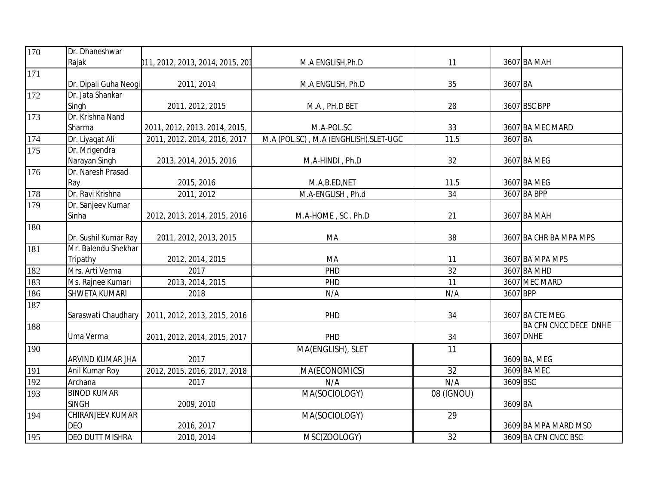| 170 | Dr. Dhaneshwar          |                                  |                                       |                 |          |                              |
|-----|-------------------------|----------------------------------|---------------------------------------|-----------------|----------|------------------------------|
|     | Rajak                   | 011, 2012, 2013, 2014, 2015, 201 | M.A ENGLISH, Ph.D                     | 11              |          | 3607 BA MAH                  |
| 171 |                         |                                  |                                       |                 |          |                              |
|     | Dr. Dipali Guha Neogi   | 2011, 2014                       | M.A ENGLISH, Ph.D                     | 35              | 3607 BA  |                              |
| 172 | Dr. Jata Shankar        |                                  |                                       |                 |          |                              |
|     | Singh                   | 2011, 2012, 2015                 | M.A, PH.D BET                         | 28              |          | 3607 BSC BPP                 |
| 173 | Dr. Krishna Nand        |                                  |                                       |                 |          |                              |
|     | Sharma                  | 2011, 2012, 2013, 2014, 2015,    | M.A-POL.SC                            | 33              |          | 3607 BA MEC MARD             |
| 174 | Dr. Liyaqat Ali         | 2011, 2012, 2014, 2016, 2017     | M.A (POL.SC), M.A (ENGHLISH).SLET-UGC | 11.5            | 3607 BA  |                              |
| 175 | Dr. Mrigendra           |                                  |                                       |                 |          |                              |
|     | Narayan Singh           | 2013, 2014, 2015, 2016           | M.A-HINDI, Ph.D                       | 32              |          | 3607 BA MEG                  |
| 176 | Dr. Naresh Prasad       |                                  |                                       |                 |          |                              |
|     | Ray                     | 2015, 2016                       | M.A,B.ED,NET                          | 11.5            |          | 3607 BA MEG                  |
| 178 | Dr. Ravi Krishna        | 2011, 2012                       | M.A-ENGLISH, Ph.d                     | 34              |          | 3607 BA BPP                  |
| 179 | Dr. Sanjeev Kumar       |                                  |                                       |                 |          |                              |
|     | Sinha                   | 2012, 2013, 2014, 2015, 2016     | M.A-HOME, SC. Ph.D                    | 21              |          | 3607 BA MAH                  |
| 180 |                         |                                  |                                       |                 |          |                              |
|     | Dr. Sushil Kumar Ray    | 2011, 2012, 2013, 2015           | MA                                    | 38              |          | 3607 BA CHR BA MPA MPS       |
| 181 | Mr. Balendu Shekhar     |                                  |                                       |                 |          |                              |
|     | Tripathy                | 2012, 2014, 2015                 | MA                                    | 11              |          | 3607 BA MPA MPS              |
| 182 | Mrs. Arti Verma         | 2017                             | PHD                                   | 32              |          | 3607 BA MHD                  |
| 183 | Ms. Rajnee Kumari       | 2013, 2014, 2015                 | PHD                                   | 11              |          | 3607 MEC MARD                |
| 186 | SHWETA KUMARI           | 2018                             | N/A                                   | N/A             | 3607 BPP |                              |
| 187 |                         |                                  |                                       |                 |          |                              |
|     | Saraswati Chaudhary     | 2011, 2012, 2013, 2015, 2016     | PHD                                   | 34              |          | 3607 BA CTE MEG              |
| 188 |                         |                                  |                                       |                 |          | <b>BA CFN CNCC DECE DNHE</b> |
|     | Uma Verma               | 2011, 2012, 2014, 2015, 2017     | PHD                                   | 34              |          | 3607 DNHE                    |
| 190 |                         |                                  | MA(ENGLISH), SLET                     | $\overline{11}$ |          |                              |
|     | ARVIND KUMAR JHA        | 2017                             |                                       |                 |          | 3609 BA, MEG                 |
| 191 | Anil Kumar Roy          | 2012, 2015, 2016, 2017, 2018     | MA(ECONOMICS)                         | $\overline{32}$ |          | 3609 BA MEC                  |
| 192 | Archana                 | 2017                             | N/A                                   | N/A             | 3609 BSC |                              |
| 193 | <b>BINOD KUMAR</b>      |                                  | MA(SOCIOLOGY)                         | 08 (IGNOU)      |          |                              |
|     | <b>SINGH</b>            | 2009, 2010                       |                                       |                 | 3609 BA  |                              |
| 194 | <b>CHIRANJEEV KUMAR</b> |                                  | MA(SOCIOLOGY)                         | 29              |          |                              |
|     | <b>DEO</b>              | 2016, 2017                       |                                       |                 |          | 3609 BA MPA MARD MSO         |
| 195 | DEO DUTT MISHRA         | 2010, 2014                       | MSC(ZOOLOGY)                          | 32              |          | 3609 BA CFN CNCC BSC         |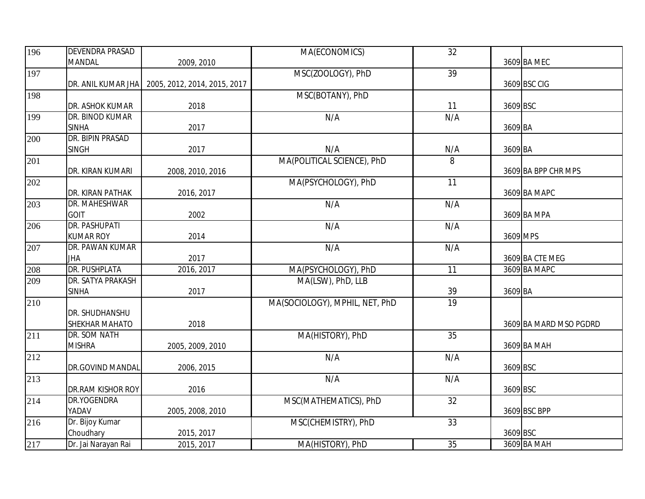| 196              | <b>DEVENDRA PRASAD</b> |                              | MA(ECONOMICS)                  | 32  |          |                        |
|------------------|------------------------|------------------------------|--------------------------------|-----|----------|------------------------|
|                  | <b>MANDAL</b>          | 2009, 2010                   |                                |     |          | 3609 BA MEC            |
| 197              |                        |                              | MSC(ZOOLOGY), PhD              | 39  |          |                        |
|                  | DR. ANIL KUMAR JHA     | 2005, 2012, 2014, 2015, 2017 |                                |     |          | 3609 BSC CIG           |
| 198              |                        |                              | MSC(BOTANY), PhD               |     |          |                        |
|                  | DR. ASHOK KUMAR        | 2018                         |                                | 11  | 3609 BSC |                        |
| 199              | DR. BINOD KUMAR        |                              | N/A                            | N/A |          |                        |
|                  | <b>SINHA</b>           | 2017                         |                                |     | 3609 BA  |                        |
| 200              | DR. BIPIN PRASAD       |                              |                                |     |          |                        |
|                  | <b>SINGH</b>           | 2017                         | N/A                            | N/A | 3609 BA  |                        |
| 201              |                        |                              | MA(POLITICAL SCIENCE), PhD     | 8   |          |                        |
|                  | DR. KIRAN KUMARI       | 2008, 2010, 2016             |                                |     |          | 3609 BA BPP CHR MPS    |
| 202              |                        |                              | MA(PSYCHOLOGY), PhD            | 11  |          |                        |
|                  | DR. KIRAN PATHAK       | 2016, 2017                   |                                |     |          | 3609 BA MAPC           |
| 203              | DR. MAHESHWAR          |                              | N/A                            | N/A |          |                        |
|                  | <b>GOIT</b>            | 2002                         |                                |     |          | 3609 BA MPA            |
| 206              | <b>DR. PASHUPATI</b>   |                              | N/A                            | N/A |          |                        |
|                  | <b>KUMAR ROY</b>       | 2014                         |                                |     | 3609 MPS |                        |
| 207              | DR. PAWAN KUMAR        |                              | N/A                            | N/A |          |                        |
|                  | <b>JHA</b>             | 2017                         |                                |     |          | 3609 BA CTE MEG        |
| 208              | <b>DR. PUSHPLATA</b>   | 2016, 2017                   | MA(PSYCHOLOGY), PhD            | 11  |          | 3609 BA MAPC           |
| $\overline{209}$ | DR. SATYA PRAKASH      |                              | MA(LSW), PhD, LLB              |     |          |                        |
|                  | <b>SINHA</b>           | 2017                         |                                | 39  | 3609 BA  |                        |
| 210              |                        |                              | MA(SOCIOLOGY), MPHIL, NET, PhD | 19  |          |                        |
|                  | DR. SHUDHANSHU         |                              |                                |     |          |                        |
|                  | SHEKHAR MAHATO         | 2018                         |                                |     |          | 3609 BA MARD MSO PGDRD |
| 211              | DR. SOM NATH           |                              | MA(HISTORY), PhD               | 35  |          |                        |
|                  | <b>MISHRA</b>          | 2005, 2009, 2010             |                                |     |          | 3609 BA MAH            |
| 212              |                        |                              | N/A                            | N/A |          |                        |
|                  | DR.GOVIND MANDAL       | 2006, 2015                   |                                |     | 3609 BSC |                        |
| 213              |                        |                              | N/A                            | N/A |          |                        |
|                  | DR.RAM KISHOR ROY      | 2016                         |                                |     | 3609 BSC |                        |
| 214              | DR.YOGENDRA            |                              | MSC(MATHEMATICS), PhD          | 32  |          |                        |
|                  | YADAV                  | 2005, 2008, 2010             |                                |     |          | 3609 BSC BPP           |
| 216              | Dr. Bijoy Kumar        |                              | MSC(CHEMISTRY), PhD            | 33  |          |                        |
|                  | Choudhary              | 2015, 2017                   |                                |     | 3609 BSC |                        |
| 217              | Dr. Jai Narayan Rai    | 2015, 2017                   | MA(HISTORY), PhD               | 35  |          | 3609 BA MAH            |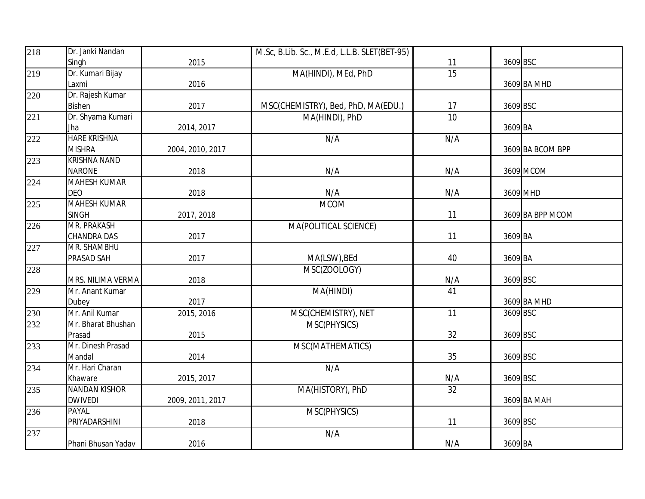| 218              | Dr. Janki Nandan          |                  | M.Sc, B.Lib. Sc., M.E.d, L.L.B. SLET(BET-95) |                 |          |                  |
|------------------|---------------------------|------------------|----------------------------------------------|-----------------|----------|------------------|
|                  | Singh                     | 2015             |                                              | 11              | 3609 BSC |                  |
| 219              | Dr. Kumari Bijay          |                  | MA(HINDI), MEd, PhD                          | 15              |          |                  |
|                  | Laxmi                     | 2016             |                                              |                 |          | 3609 BA MHD      |
| 220              | Dr. Rajesh Kumar          |                  |                                              |                 |          |                  |
|                  | <b>Bishen</b>             | 2017             | MSC(CHEMISTRY), Bed, PhD, MA(EDU.)           | 17              | 3609 BSC |                  |
| 221              | Dr. Shyama Kumari         |                  | MA(HINDI), PhD                               | 10              |          |                  |
|                  | Jha                       | 2014, 2017       |                                              |                 | 3609 BA  |                  |
| 222              | <b>HARE KRISHNA</b>       |                  | N/A                                          | N/A             |          |                  |
|                  | <b>MISHRA</b>             | 2004, 2010, 2017 |                                              |                 |          | 3609 BA BCOM BPP |
| 223              | <b>KRISHNA NAND</b>       |                  |                                              |                 |          |                  |
|                  | <b>NARONE</b>             | 2018             | N/A                                          | N/A             |          | 3609 MCOM        |
| 224              | <b>MAHESH KUMAR</b>       |                  |                                              |                 |          |                  |
|                  | <b>DEO</b>                | 2018             | N/A                                          | N/A             | 3609 MHD |                  |
| $\overline{2}25$ | <b>MAHESH KUMAR</b>       |                  | <b>MCOM</b>                                  |                 |          |                  |
|                  | <b>SINGH</b>              | 2017, 2018       |                                              | 11              |          | 3609 BA BPP MCOM |
| $\overline{2}26$ | <b>MR. PRAKASH</b>        |                  | MA(POLITICAL SCIENCE)                        |                 |          |                  |
|                  | CHANDRA DAS               | 2017             |                                              | 11              | 3609 BA  |                  |
| 227              | MR. SHAMBHU               |                  |                                              |                 |          |                  |
|                  | PRASAD SAH                | 2017             | MA(LSW), BEd                                 | 40              | 3609 BA  |                  |
| 228              |                           |                  | MSC(ZOOLOGY)                                 |                 |          |                  |
|                  | MRS. NILIMA VERMA         | 2018             |                                              | N/A             | 3609 BSC |                  |
| $\overline{229}$ | Mr. Anant Kumar           |                  | MA(HINDI)                                    | $\overline{41}$ |          |                  |
|                  | Dubey                     | 2017             |                                              |                 |          | 3609 BA MHD      |
| $\overline{230}$ | Mr. Anil Kumar            | 2015, 2016       | MSC(CHEMISTRY), NET                          | 11              | 3609 BSC |                  |
| 232              | Mr. Bharat Bhushan        |                  | MSC(PHYSICS)                                 |                 |          |                  |
|                  | Prasad                    | 2015             |                                              | 32              | 3609 BSC |                  |
| 233              | Mr. Dinesh Prasad         |                  | MSC(MATHEMATICS)                             |                 |          |                  |
| 234              | Mandal<br>Mr. Hari Charan | 2014             |                                              | 35              | 3609 BSC |                  |
|                  | Khaware                   |                  | N/A                                          | N/A             | 3609 BSC |                  |
| 235              | <b>NANDAN KISHOR</b>      | 2015, 2017       |                                              |                 |          |                  |
|                  | <b>DWIVEDI</b>            | 2009, 2011, 2017 | MA(HISTORY), PhD                             | 32              |          | 3609 BA MAH      |
| 236              | PAYAL                     |                  | MSC(PHYSICS)                                 |                 |          |                  |
|                  | PRIYADARSHINI             | 2018             |                                              | 11              | 3609 BSC |                  |
| 237              |                           |                  | N/A                                          |                 |          |                  |
|                  | Phani Bhusan Yadav        | 2016             |                                              | N/A             | 3609 BA  |                  |
|                  |                           |                  |                                              |                 |          |                  |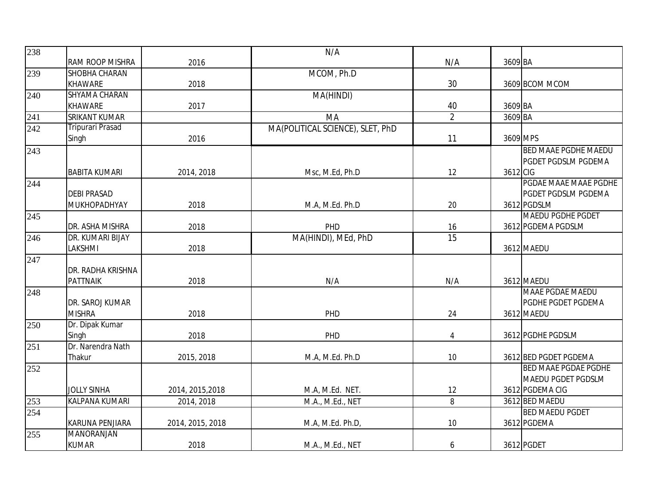| 238              |                         |                  | N/A                              |                 |          |                             |
|------------------|-------------------------|------------------|----------------------------------|-----------------|----------|-----------------------------|
|                  | RAM ROOP MISHRA         | 2016             |                                  | N/A             | 3609 BA  |                             |
| 239              | SHOBHA CHARAN           |                  | MCOM, Ph.D                       |                 |          |                             |
|                  | <b>KHAWARE</b>          | 2018             |                                  | 30              |          | 3609 BCOM MCOM              |
| 240              | SHYAMA CHARAN           |                  | MA(HINDI)                        |                 |          |                             |
|                  | <b>KHAWARE</b>          | 2017             |                                  | 40              | 3609 BA  |                             |
| 241              | <b>SRIKANT KUMAR</b>    |                  | MA                               | $\overline{2}$  | 3609 BA  |                             |
| 242              | <b>Tripurari Prasad</b> |                  | MA(POLITICAL SCIENCE), SLET, PhD |                 |          |                             |
|                  | Singh                   | 2016             |                                  | 11              | 3609 MPS |                             |
| 243              |                         |                  |                                  |                 |          | <b>BED MAAE PGDHE MAEDU</b> |
|                  |                         |                  |                                  |                 |          | PGDET PGDSLM PGDEMA         |
|                  | <b>BABITA KUMARI</b>    | 2014, 2018       | Msc, M.Ed, Ph.D                  | 12              | 3612 CIG |                             |
| $\overline{244}$ |                         |                  |                                  |                 |          | PGDAE MAAE MAAE PGDHE       |
|                  | <b>DEBI PRASAD</b>      |                  |                                  |                 |          | PGDET PGDSLM PGDEMA         |
|                  | MUKHOPADHYAY            | 2018             | M.A, M.Ed. Ph.D                  | 20              |          | 3612 PGDSLM                 |
| 245              |                         |                  |                                  |                 |          | <b>MAEDU PGDHE PGDET</b>    |
|                  | DR. ASHA MISHRA         | 2018             | PHD                              | 16              |          | 3612 PGDEMA PGDSLM          |
| 246              | DR. KUMARI BIJAY        |                  | MA(HINDI), MEd, PhD              | $\overline{15}$ |          |                             |
|                  | LAKSHMI                 | 2018             |                                  |                 |          | 3612 MAEDU                  |
| 247              | DR. RADHA KRISHNA       |                  |                                  |                 |          |                             |
|                  | <b>PATTNAIK</b>         | 2018             | N/A                              | N/A             |          | 3612 MAEDU                  |
| 248              |                         |                  |                                  |                 |          | <b>MAAE PGDAE MAEDU</b>     |
|                  | DR. SAROJ KUMAR         |                  |                                  |                 |          | PGDHE PGDET PGDEMA          |
|                  | <b>MISHRA</b>           | 2018             | PHD                              | 24              |          | 3612 MAEDU                  |
| 250              | Dr. Dipak Kumar         |                  |                                  |                 |          |                             |
|                  | Singh                   | 2018             | PHD                              | $\overline{4}$  |          | 3612 PGDHE PGDSLM           |
| 251              | Dr. Narendra Nath       |                  |                                  |                 |          |                             |
|                  | Thakur                  | 2015, 2018       | M.A, M.Ed. Ph.D                  | 10              |          | 3612 BED PGDET PGDEMA       |
| 252              |                         |                  |                                  |                 |          | <b>BED MAAE PGDAE PGDHE</b> |
|                  |                         |                  |                                  |                 |          | MAEDU PGDET PGDSLM          |
|                  | <b>JOLLY SINHA</b>      | 2014, 2015, 2018 | M.A, M.Ed. NET.                  | 12              |          | 3612 PGDEMA CIG             |
| 253              | <b>KALPANA KUMARI</b>   | 2014, 2018       | M.A., M.Ed., NET                 | 8               |          | 3612 BED MAEDU              |
| 254              |                         |                  |                                  |                 |          | <b>BED MAEDU PGDET</b>      |
|                  | KARUNA PENJIARA         | 2014, 2015, 2018 | M.A, M.Ed. Ph.D,                 | 10              |          | 3612 PGDEMA                 |
| 255              | <b>MANORANJAN</b>       |                  |                                  |                 |          |                             |
|                  | <b>KUMAR</b>            | 2018             | M.A., M.Ed., NET                 | 6               |          | 3612 PGDET                  |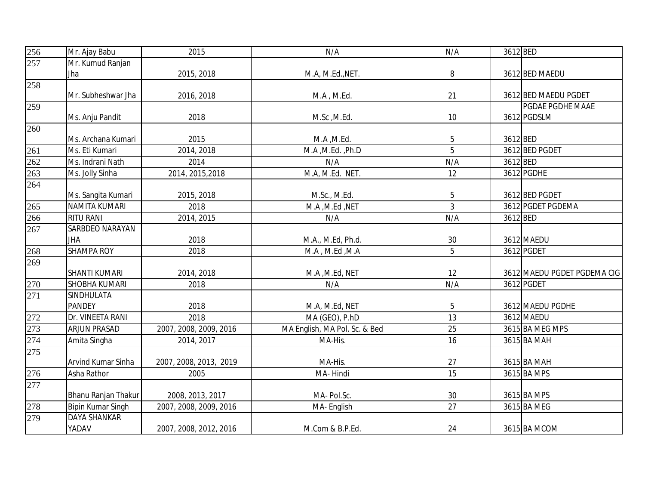| 256 | Mr. Ajay Babu            | 2015                   | N/A                           | N/A            | 3612 BED |                             |
|-----|--------------------------|------------------------|-------------------------------|----------------|----------|-----------------------------|
| 257 | Mr. Kumud Ranjan         |                        |                               |                |          |                             |
|     | Jha                      | 2015, 2018             | M.A, M.Ed., NET.              | 8              |          | 3612 BED MAEDU              |
| 258 |                          |                        |                               |                |          |                             |
|     | Mr. Subheshwar Jha       | 2016, 2018             | M.A, M.Ed.                    | 21             |          | 3612 BED MAEDU PGDET        |
| 259 |                          |                        |                               |                |          | PGDAE PGDHE MAAE            |
|     | Ms. Anju Pandit          | 2018                   | M.Sc, M.Ed.                   | 10             |          | 3612 PGDSLM                 |
| 260 |                          |                        |                               |                |          |                             |
|     | Ms. Archana Kumari       | 2015                   | M.A , M.Ed.                   | 5              | 3612 BED |                             |
| 261 | Ms. Eti Kumari           | 2014, 2018             | M.A , M.Ed. , Ph.D            | $\overline{5}$ |          | 3612 BED PGDET              |
| 262 | Ms. Indrani Nath         | 2014                   | N/A                           | N/A            | 3612 BED |                             |
| 263 | Ms. Jolly Sinha          | 2014, 2015, 2018       | M.A, M.Ed. NET.               | 12             |          | 3612 PGDHE                  |
| 264 |                          |                        |                               |                |          |                             |
|     | Ms. Sangita Kumari       | 2015, 2018             | M.Sc., M.Ed.                  | 5              |          | 3612 BED PGDET              |
| 265 | NAMITA KUMARI            | 2018                   | M.A , M.Ed , NET              | $\overline{3}$ |          | 3612 PGDET PGDEMA           |
| 266 | <b>RITU RANI</b>         | 2014, 2015             | N/A                           | N/A            | 3612 BED |                             |
| 267 | SARBDEO NARAYAN          |                        |                               |                |          |                             |
|     | JHA                      | 2018                   | M.A., M.Ed, Ph.d.             | 30             |          | 3612 MAEDU                  |
| 268 | <b>SHAMPA ROY</b>        | 2018                   | M.A, M.Ed, M.A                | 5              |          | 3612 PGDET                  |
| 269 |                          |                        |                               |                |          |                             |
|     | <b>SHANTI KUMARI</b>     | 2014, 2018             | M.A , M.Ed, NET               | 12             |          | 3612 MAEDU PGDET PGDEMA CIG |
| 270 | SHOBHA KUMARI            | 2018                   | N/A                           | N/A            |          | 3612 PGDET                  |
| 271 | SINDHULATA               |                        |                               |                |          |                             |
|     | <b>PANDEY</b>            | 2018                   | M.A, M.Ed, NET                | 5              |          | 3612 MAEDU PGDHE            |
| 272 | Dr. VINEETA RANI         | 2018                   | MA (GEO), P.hD                | 13             |          | 3612 MAEDU                  |
| 273 | <b>ARJUN PRASAD</b>      | 2007, 2008, 2009, 2016 | MA English, MA Pol. Sc. & Bed | 25             |          | 3615 BA MEG MPS             |
| 274 | Amita Singha             | 2014, 2017             | MA-His.                       | 16             |          | 3615 BA MAH                 |
| 275 |                          |                        |                               |                |          |                             |
|     | Arvind Kumar Sinha       | 2007, 2008, 2013, 2019 | MA-His.                       | 27             |          | 3615 BA MAH                 |
| 276 | Asha Rathor              | 2005                   | MA-Hindi                      | 15             |          | 3615 BA MPS                 |
| 277 |                          |                        |                               |                |          |                             |
|     | Bhanu Ranjan Thakur      | 2008, 2013, 2017       | MA-Pol.Sc.                    | 30             |          | 3615 BA MPS                 |
| 278 | <b>Bipin Kumar Singh</b> | 2007, 2008, 2009, 2016 | MA-English                    | 27             |          | 3615 BA MEG                 |
| 279 | DAYA SHANKAR             |                        |                               |                |          |                             |
|     | YADAV                    | 2007, 2008, 2012, 2016 | M.Com & B.P.Ed.               | 24             |          | 3615 BA MCOM                |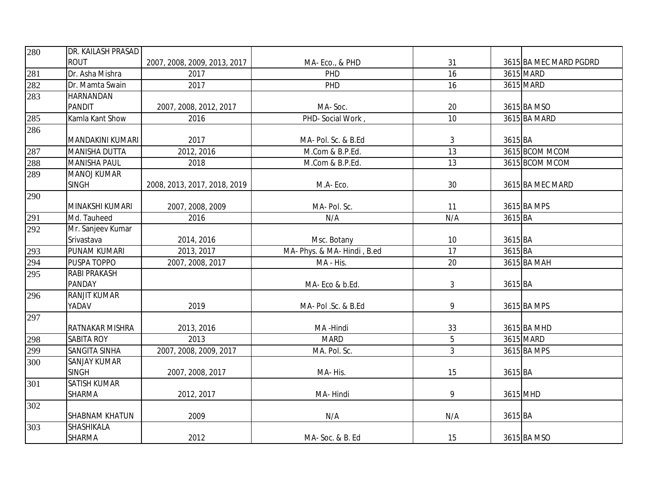| 280               | DR. KAILASH PRASAD   |                              |                             |                |          |                        |
|-------------------|----------------------|------------------------------|-----------------------------|----------------|----------|------------------------|
|                   | <b>ROUT</b>          | 2007, 2008, 2009, 2013, 2017 | MA-Eco., & PHD              | 31             |          | 3615 BA MEC MARD PGDRD |
| 281               | Dr. Asha Mishra      | 2017                         | PHD                         | 16             |          | 3615 MARD              |
| 282               | Dr. Mamta Swain      | 2017                         | PHD                         | 16             |          | 3615 MARD              |
| 283               | HARNANDAN            |                              |                             |                |          |                        |
|                   | <b>PANDIT</b>        | 2007, 2008, 2012, 2017       | MA-Soc.                     | 20             |          | 3615 BA MSO            |
| 285               | Kamla Kant Show      | 2016                         | PHD- Social Work,           | 10             |          | 3615 BA MARD           |
| 286               |                      |                              |                             |                |          |                        |
|                   | MANDAKINI KUMARI     | 2017                         | MA- Pol. Sc. & B.Ed         | 3              | 3615 BA  |                        |
| 287<br>288<br>289 | <b>MANISHA DUTTA</b> | 2012, 2016                   | M.Com & B.P.Ed.             | 13             |          | 3615 BCOM MCOM         |
|                   | <b>MANISHA PAUL</b>  | 2018                         | M.Com & B.P.Ed.             | 13             |          | 3615 BCOM MCOM         |
|                   | <b>MANOJ KUMAR</b>   |                              |                             |                |          |                        |
|                   | <b>SINGH</b>         | 2008, 2013, 2017, 2018, 2019 | M.A-Eco.                    | 30             |          | 3615 BA MEC MARD       |
| 290               |                      |                              |                             |                |          |                        |
|                   | MINAKSHI KUMARI      | 2007, 2008, 2009             | MA- Pol. Sc.                | 11             |          | 3615 BA MPS            |
| 291               | Md. Tauheed          | 2016                         | N/A                         | N/A            | 3615 BA  |                        |
| 292               | Mr. Sanjeev Kumar    |                              |                             |                |          |                        |
|                   | Srivastava           | 2014, 2016                   | Msc. Botany                 | 10             | 3615 BA  |                        |
| 293               | PUNAM KUMARI         | 2013, 2017                   | MA- Phys. & MA- Hindi, B.ed | 17             | 3615 BA  |                        |
| 294               | PUSPA TOPPO          | 2007, 2008, 2017             | MA - His.                   | 20             |          | 3615 BA MAH            |
| 295               | RABI PRAKASH         |                              |                             |                |          |                        |
|                   | PANDAY               |                              | MA-Eco & b.Ed.              | 3              | 3615 BA  |                        |
| 296               | <b>RANJIT KUMAR</b>  |                              |                             |                |          |                        |
|                   | YADAV                | 2019                         | MA- Pol .Sc. & B.Ed         | 9              |          | 3615 BA MPS            |
| 297               |                      |                              |                             |                |          |                        |
|                   | RATNAKAR MISHRA      | 2013, 2016                   | MA-Hindi                    | 33             |          | 3615 BA MHD            |
| 298               | SABITA ROY           | 2013                         | <b>MARD</b>                 | 5              |          | 3615 MARD              |
| 299               | SANGITA SINHA        | 2007, 2008, 2009, 2017       | MA. Pol. Sc.                | $\overline{3}$ |          | 3615 BA MPS            |
| 300               | SANJAY KUMAR         |                              |                             |                |          |                        |
|                   | <b>SINGH</b>         | 2007, 2008, 2017             | MA-His.                     | 15             | 3615 BA  |                        |
| 301               | <b>SATISH KUMAR</b>  |                              |                             |                |          |                        |
|                   | SHARMA               | 2012, 2017                   | MA-Hindi                    | 9              | 3615 MHD |                        |
| 302               |                      |                              |                             |                |          |                        |
|                   | SHABNAM KHATUN       | 2009                         | N/A                         | N/A            | 3615 BA  |                        |
| 303               | SHASHIKALA           |                              |                             |                |          |                        |
|                   | SHARMA               | 2012                         | MA-Soc. & B. Ed             | 15             |          | 3615 BA MSO            |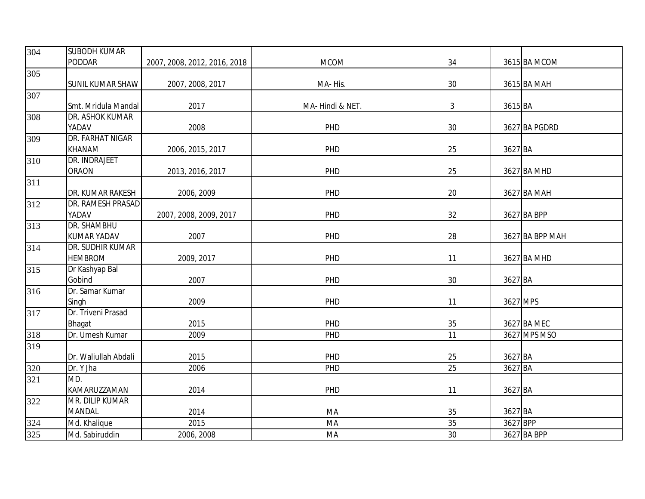| 304 | <b>SUBODH KUMAR</b>     |                              |                  |    |          |                 |
|-----|-------------------------|------------------------------|------------------|----|----------|-----------------|
|     | PODDAR                  | 2007, 2008, 2012, 2016, 2018 | <b>MCOM</b>      | 34 |          | 3615 BA MCOM    |
| 305 |                         |                              |                  |    |          |                 |
|     | <b>SUNIL KUMAR SHAW</b> | 2007, 2008, 2017             | MA-His.          | 30 |          | 3615 BA MAH     |
| 307 |                         |                              |                  |    |          |                 |
|     | Smt. Mridula Mandal     | 2017                         | MA- Hindi & NET. | 3  | 3615 BA  |                 |
| 308 | DR. ASHOK KUMAR         |                              |                  |    |          |                 |
|     | YADAV                   | 2008                         | PHD              | 30 |          | 3627 BA PGDRD   |
| 309 | DR. FARHAT NIGAR        |                              |                  |    |          |                 |
|     | <b>KHANAM</b>           | 2006, 2015, 2017             | PHD              | 25 | 3627 BA  |                 |
| 310 | DR. INDRAJEET           |                              |                  |    |          |                 |
|     | <b>ORAON</b>            | 2013, 2016, 2017             | PHD              | 25 |          | 3627 BA MHD     |
| 311 |                         |                              |                  |    |          |                 |
|     | DR. KUMAR RAKESH        | 2006, 2009                   | PHD              | 20 |          | 3627 BA MAH     |
| 312 | DR. RAMESH PRASAD       |                              |                  |    |          |                 |
|     | YADAV                   | 2007, 2008, 2009, 2017       | PHD              | 32 |          | 3627 BA BPP     |
| 313 | DR. SHAMBHU             |                              |                  |    |          |                 |
|     | <b>KUMAR YADAV</b>      | 2007                         | PHD              | 28 |          | 3627 BA BPP MAH |
| 314 | DR. SUDHIR KUMAR        |                              |                  |    |          |                 |
|     | <b>HEMBROM</b>          | 2009, 2017                   | PHD              | 11 |          | 3627 BA MHD     |
| 315 | Dr Kashyap Bal          |                              |                  |    |          |                 |
|     | Gobind                  | 2007                         | PHD              | 30 | 3627 BA  |                 |
| 316 | Dr. Samar Kumar         |                              |                  |    |          |                 |
|     | Singh                   | 2009                         | PHD              | 11 |          | 3627 MPS        |
| 317 | Dr. Triveni Prasad      |                              |                  |    |          |                 |
|     | <b>Bhagat</b>           | 2015                         | PHD              | 35 |          | 3627 BA MEC     |
| 318 | Dr. Umesh Kumar         | 2009                         | PHD              | 11 |          | 3627 MPS MSO    |
| 319 |                         |                              |                  |    |          |                 |
|     | Dr. Waliullah Abdali    | 2015                         | PHD              | 25 | 3627 BA  |                 |
| 320 | Dr. Y Jha               | 2006                         | PHD              | 25 | 3627 BA  |                 |
| 321 | MD.                     |                              |                  |    |          |                 |
|     | KAMARUZZAMAN            | 2014                         | PHD              | 11 | 3627 BA  |                 |
| 322 | MR. DILIP KUMAR         |                              |                  |    |          |                 |
|     | <b>MANDAL</b>           | 2014                         | MA               | 35 | 3627 BA  |                 |
| 324 | Md. Khalique            | 2015                         | MA               | 35 | 3627 BPP |                 |
| 325 | Md. Sabiruddin          | 2006, 2008                   | MA               | 30 |          | 3627 BA BPP     |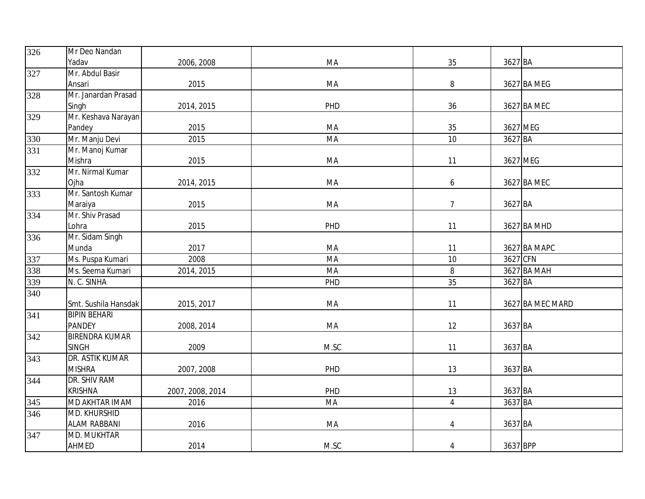| 326              | Mr Deo Nandan         |                  |      |                |          |                  |
|------------------|-----------------------|------------------|------|----------------|----------|------------------|
|                  | Yadav                 | 2006, 2008       | MA   | 35             | 3627 BA  |                  |
| 327              | Mr. Abdul Basir       |                  |      |                |          |                  |
|                  | Ansari                | 2015             | MA   | 8              |          | 3627 BA MEG      |
| 328              | Mr. Janardan Prasad   |                  |      |                |          |                  |
|                  | Singh                 | 2014, 2015       | PHD  | 36             |          | 3627 BA MEC      |
| 329              | Mr. Keshava Narayan   |                  |      |                |          |                  |
|                  | Pandey                | 2015             | MA   | 35             | 3627 MEG |                  |
| 330              | Mr. Manju Devi        | 2015             | MA   | 10             | 3627 BA  |                  |
| 331              | Mr. Manoj Kumar       |                  |      |                |          |                  |
|                  | Mishra                | 2015             | MA   | 11             | 3627 MEG |                  |
| 332              | Mr. Nirmal Kumar      |                  |      |                |          |                  |
|                  | Ojha                  | 2014, 2015       | MA   | 6              |          | 3627 BA MEC      |
| 333              | Mr. Santosh Kumar     |                  |      |                |          |                  |
|                  | Maraiya               | 2015             | MA   | $\overline{7}$ | 3627 BA  |                  |
| 334              | Mr. Shiv Prasad       |                  |      |                |          |                  |
|                  | Lohra                 | 2015             | PHD  | 11             |          | 3627 BA MHD      |
| 336              | Mr. Sidam Singh       |                  |      |                |          |                  |
|                  | Munda                 | 2017             | MA   | 11             |          | 3627 BA MAPC     |
| 337              | Ms. Puspa Kumari      | 2008             | MA   | 10             | 3627 CFN |                  |
| 338              | Ms. Seema Kumari      | 2014, 2015       | MA   | 8              |          | 3627 BA MAH      |
| 339              | N. C. SINHA           |                  | PHD  | 35             | 3627 BA  |                  |
| 340              |                       |                  |      |                |          |                  |
|                  | Smt. Sushila Hansdak  | 2015, 2017       | MA   | 11             |          | 3627 BA MEC MARD |
| 341              | <b>BIPIN BEHARI</b>   |                  |      |                |          |                  |
|                  | <b>PANDEY</b>         | 2008, 2014       | MA   | 12             | 3637 BA  |                  |
| 342              | <b>BIRENDRA KUMAR</b> |                  |      |                |          |                  |
|                  | <b>SINGH</b>          | 2009             | M.SC | 11             | 3637 BA  |                  |
| $\overline{343}$ | DR. ASTIK KUMAR       |                  |      |                |          |                  |
|                  | <b>MISHRA</b>         | 2007, 2008       | PHD  | 13             | 3637 BA  |                  |
| 344              | DR. SHIV RAM          |                  |      |                |          |                  |
|                  | <b>KRISHNA</b>        | 2007, 2008, 2014 | PHD  | 13             | 3637 BA  |                  |
| 345              | MD AKHTAR IMAM        | 2016             | MA   | $\overline{4}$ | 3637 BA  |                  |
| 346              | <b>MD. KHURSHID</b>   |                  |      |                |          |                  |
|                  | <b>ALAM RABBANI</b>   | 2016             | MA   | 4              | 3637 BA  |                  |
| 347              | <b>MD. MUKHTAR</b>    |                  |      |                |          |                  |
|                  | AHMED                 | 2014             | M.SC | $\overline{4}$ | 3637 BPP |                  |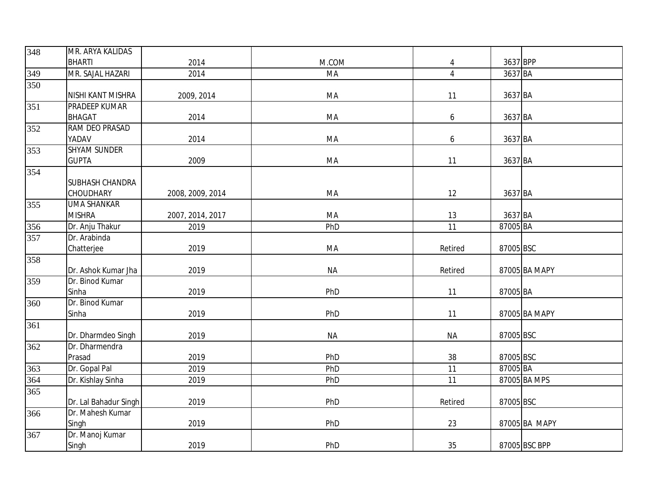| 348               | MR. ARYA KALIDAS         |                  |           |                  |           |               |
|-------------------|--------------------------|------------------|-----------|------------------|-----------|---------------|
|                   | <b>BHARTI</b>            | 2014             | M.COM     | $\overline{4}$   | 3637 BPP  |               |
| $\frac{349}{350}$ | MR. SAJAL HAZARI         | 2014             | MA        | $\overline{4}$   | 3637 BA   |               |
|                   |                          |                  |           |                  |           |               |
|                   | NISHI KANT MISHRA        | 2009, 2014       | MA        | 11               | 3637 BA   |               |
| 351               | PRADEEP KUMAR            |                  |           |                  |           |               |
|                   | <b>BHAGAT</b>            | 2014             | MA        | 6                | 3637 BA   |               |
| 352               | RAM DEO PRASAD           |                  |           |                  |           |               |
|                   | YADAV                    | 2014             | MA        | $\boldsymbol{6}$ | 3637 BA   |               |
| 353               | <b>SHYAM SUNDER</b>      |                  |           |                  |           |               |
|                   | <b>GUPTA</b>             | 2009             | MA        | 11               | 3637 BA   |               |
| 354               |                          |                  |           |                  |           |               |
|                   | SUBHASH CHANDRA          |                  |           |                  |           |               |
|                   | CHOUDHARY                | 2008, 2009, 2014 | MA        | 12               | 3637 BA   |               |
| 355               | <b>UMA SHANKAR</b>       |                  |           |                  |           |               |
|                   | <b>MISHRA</b>            | 2007, 2014, 2017 | MA        | 13               | 3637 BA   |               |
| 356               | Dr. Anju Thakur          | 2019             | PhD       | 11               | 87005 BA  |               |
| 357               | Dr. Arabinda             |                  |           |                  |           |               |
|                   | Chatterjee               | 2019             | MA        | Retired          | 87005 BSC |               |
| 358               |                          |                  |           |                  |           |               |
|                   | Dr. Ashok Kumar Jha      | 2019             | <b>NA</b> | Retired          |           | 87005 BA MAPY |
| 359               | Dr. Binod Kumar<br>Sinha |                  |           |                  | 87005 BA  |               |
| 360               | Dr. Binod Kumar          | 2019             | PhD       | 11               |           |               |
|                   | Sinha                    | 2019             | PhD       | 11               |           | 87005 BA MAPY |
| 361               |                          |                  |           |                  |           |               |
|                   | Dr. Dharmdeo Singh       | 2019             | <b>NA</b> | <b>NA</b>        | 87005 BSC |               |
| 362               | Dr. Dharmendra           |                  |           |                  |           |               |
|                   | Prasad                   | 2019             | PhD       | 38               | 87005 BSC |               |
| 363               | Dr. Gopal Pal            | 2019             | PhD       | 11               | 87005 BA  |               |
| 364               | Dr. Kishlay Sinha        | 2019             | PhD       | 11               |           | 87005 BA MPS  |
| 365               |                          |                  |           |                  |           |               |
|                   | Dr. Lal Bahadur Singh    | 2019             | PhD       | Retired          | 87005 BSC |               |
| 366               | Dr. Mahesh Kumar         |                  |           |                  |           |               |
|                   | Singh                    | 2019             | PhD       | 23               |           | 87005 BA MAPY |
| 367               | Dr. Manoj Kumar          |                  |           |                  |           |               |
|                   | Singh                    | 2019             | PhD       | 35               |           | 87005 BSC BPP |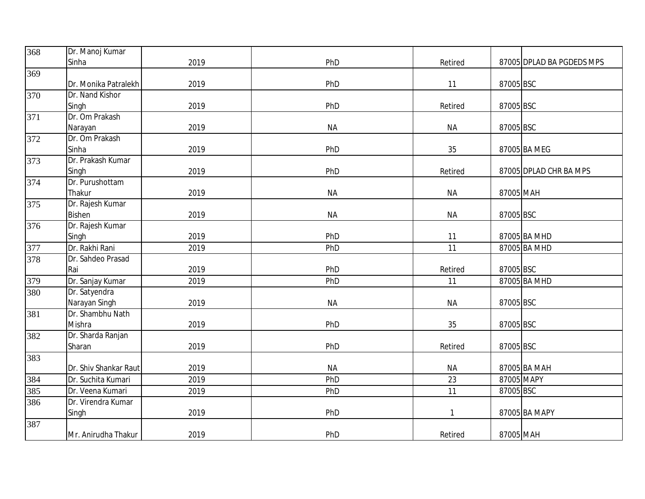| 368 | Dr. Manoj Kumar       |      |           |           |            |                           |
|-----|-----------------------|------|-----------|-----------|------------|---------------------------|
|     | Sinha                 | 2019 | PhD       | Retired   |            | 87005 DPLAD BA PGDEDS MPS |
| 369 |                       |      |           |           |            |                           |
|     | Dr. Monika Patralekh  | 2019 | PhD       | 11        | 87005 BSC  |                           |
| 370 | Dr. Nand Kishor       |      |           |           |            |                           |
|     | Singh                 | 2019 | PhD       | Retired   | 87005 BSC  |                           |
| 371 | Dr. Om Prakash        |      |           |           |            |                           |
|     | Narayan               | 2019 | <b>NA</b> | <b>NA</b> | 87005 BSC  |                           |
| 372 | Dr. Om Prakash        |      |           |           |            |                           |
|     | Sinha                 | 2019 | PhD       | 35        |            | 87005 BA MEG              |
| 373 | Dr. Prakash Kumar     |      |           |           |            |                           |
|     | Singh                 | 2019 | PhD       | Retired   |            | 87005 DPLAD CHR BA MPS    |
| 374 | Dr. Purushottam       |      |           |           |            |                           |
|     | Thakur                | 2019 | <b>NA</b> | <b>NA</b> | 87005 MAH  |                           |
| 375 | Dr. Rajesh Kumar      |      |           |           |            |                           |
|     | <b>Bishen</b>         | 2019 | <b>NA</b> | <b>NA</b> | 87005 BSC  |                           |
| 376 | Dr. Rajesh Kumar      |      |           |           |            |                           |
|     | Singh                 | 2019 | PhD       | 11        |            | 87005 BA MHD              |
| 377 | Dr. Rakhi Rani        | 2019 | PhD       | 11        |            | 87005 BA MHD              |
| 378 | Dr. Sahdeo Prasad     |      |           |           |            |                           |
|     | Rai                   | 2019 | PhD       | Retired   | 87005 BSC  |                           |
| 379 | Dr. Sanjay Kumar      | 2019 | PhD       | 11        |            | 87005 BA MHD              |
| 380 | Dr. Satyendra         |      |           |           |            |                           |
|     | Narayan Singh         | 2019 | <b>NA</b> | <b>NA</b> | 87005 BSC  |                           |
| 381 | Dr. Shambhu Nath      |      |           |           |            |                           |
|     | Mishra                | 2019 | PhD       | 35        | 87005 BSC  |                           |
| 382 | Dr. Sharda Ranjan     |      |           |           |            |                           |
|     | Sharan                | 2019 | PhD       | Retired   | 87005 BSC  |                           |
| 383 |                       |      |           |           |            |                           |
|     | Dr. Shiv Shankar Raut | 2019 | <b>NA</b> | <b>NA</b> |            | 87005 BA MAH              |
| 384 | Dr. Suchita Kumari    | 2019 | PhD       | 23        | 87005 MAPY |                           |
| 385 | Dr. Veena Kumari      | 2019 | PhD       | 11        | 87005 BSC  |                           |
| 386 | Dr. Virendra Kumar    |      |           |           |            |                           |
|     | Singh                 | 2019 | PhD       |           |            | 87005 BA MAPY             |
| 387 |                       |      |           |           |            |                           |
|     | Mr. Anirudha Thakur   | 2019 | PhD       | Retired   | 87005 MAH  |                           |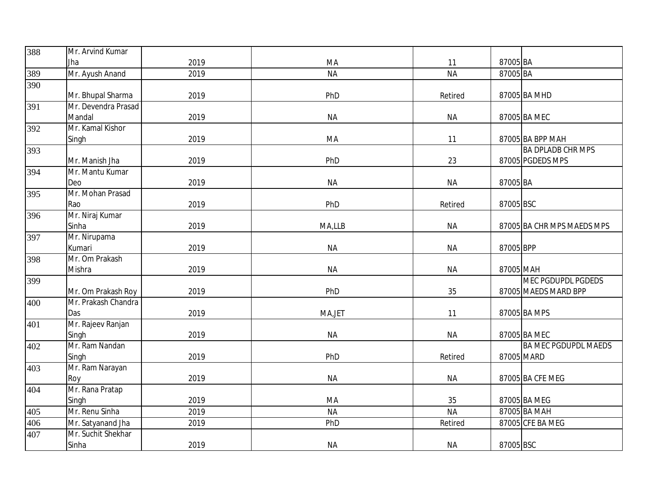| 388 | Mr. Arvind Kumar    |      |           |           |           |                             |
|-----|---------------------|------|-----------|-----------|-----------|-----------------------------|
|     | Jha                 | 2019 | MA        | 11        | 87005 BA  |                             |
| 389 | Mr. Ayush Anand     | 2019 | <b>NA</b> | <b>NA</b> | 87005 BA  |                             |
| 390 |                     |      |           |           |           |                             |
|     | Mr. Bhupal Sharma   | 2019 | PhD       | Retired   |           | 87005 BA MHD                |
| 391 | Mr. Devendra Prasad |      |           |           |           |                             |
|     | Mandal              | 2019 | <b>NA</b> | <b>NA</b> |           | 87005 BA MEC                |
| 392 | Mr. Kamal Kishor    |      |           |           |           |                             |
|     | Singh               | 2019 | MA        | 11        |           | 87005 BA BPP MAH            |
| 393 |                     |      |           |           |           | <b>BA DPLADB CHR MPS</b>    |
|     | Mr. Manish Jha      | 2019 | PhD       | 23        |           | 87005 PGDEDS MPS            |
| 394 | Mr. Mantu Kumar     |      |           |           |           |                             |
|     | Deo                 | 2019 | <b>NA</b> | <b>NA</b> | 87005 BA  |                             |
| 395 | Mr. Mohan Prasad    |      |           |           |           |                             |
|     | Rao                 | 2019 | PhD       | Retired   | 87005 BSC |                             |
| 396 | Mr. Niraj Kumar     |      |           |           |           |                             |
|     | Sinha               | 2019 | MA,LLB    | <b>NA</b> |           | 87005 BA CHR MPS MAEDS MPS  |
| 397 | Mr. Nirupama        |      |           |           |           |                             |
|     | Kumari              | 2019 | <b>NA</b> | <b>NA</b> | 87005 BPP |                             |
| 398 | Mr. Om Prakash      |      |           |           |           |                             |
|     | Mishra              | 2019 | <b>NA</b> | <b>NA</b> | 87005 MAH |                             |
| 399 |                     |      |           |           |           | <b>MEC PGDUPDL PGDEDS</b>   |
|     | Mr. Om Prakash Roy  | 2019 | PhD       | 35        |           | 87005 MAEDS MARD BPP        |
| 400 | Mr. Prakash Chandra |      |           |           |           |                             |
|     | Das                 | 2019 | MA, JET   | 11        |           | 87005 BA MPS                |
| 401 | Mr. Rajeev Ranjan   |      |           |           |           |                             |
|     | Singh               | 2019 | <b>NA</b> | <b>NA</b> |           | 87005 BA MEC                |
| 402 | Mr. Ram Nandan      |      |           |           |           | <b>BA MEC PGDUPDL MAEDS</b> |
|     | Singh               | 2019 | PhD       | Retired   |           | 87005 MARD                  |
| 403 | Mr. Ram Narayan     |      |           |           |           |                             |
|     | Roy                 | 2019 | <b>NA</b> | <b>NA</b> |           | 87005 BA CFE MEG            |
| 404 | Mr. Rana Pratap     |      |           |           |           |                             |
|     | Singh               | 2019 | MA        | 35        |           | 87005 BA MEG                |
| 405 | Mr. Renu Sinha      | 2019 | <b>NA</b> | <b>NA</b> |           | 87005 BA MAH                |
| 406 | Mr. Satyanand Jha   | 2019 | PhD       | Retired   |           | 87005 CFE BA MEG            |
| 407 | Mr. Suchit Shekhar  |      |           |           |           |                             |
|     | Sinha               | 2019 | <b>NA</b> | <b>NA</b> | 87005 BSC |                             |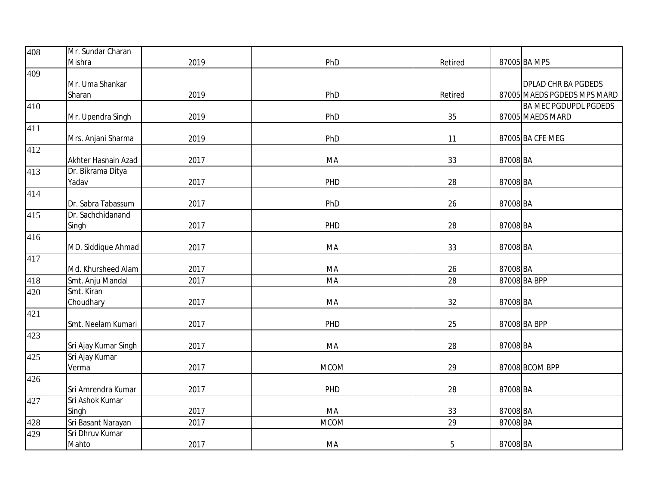| 408 | Mr. Sundar Charan    |      |             |         |          |                              |
|-----|----------------------|------|-------------|---------|----------|------------------------------|
|     | Mishra               | 2019 | PhD         | Retired |          | 87005 BA MPS                 |
| 409 |                      |      |             |         |          |                              |
|     | Mr. Uma Shankar      |      |             |         |          | <b>DPLAD CHR BA PGDEDS</b>   |
|     | Sharan               | 2019 | PhD         | Retired |          | 87005 MAEDS PGDEDS MPS MARD  |
| 410 |                      |      |             |         |          | <b>BA MEC PGDUPDL PGDEDS</b> |
|     | Mr. Upendra Singh    | 2019 | PhD         | 35      |          | 87005 MAEDS MARD             |
| 411 |                      |      |             |         |          |                              |
|     | Mrs. Anjani Sharma   | 2019 | PhD         | 11      |          | 87005 BA CFE MEG             |
| 412 |                      |      |             |         |          |                              |
|     | Akhter Hasnain Azad  | 2017 | MA          | 33      | 87008 BA |                              |
| 413 | Dr. Bikrama Ditya    |      |             |         |          |                              |
|     | Yadav                | 2017 | PHD         | 28      | 87008 BA |                              |
| 414 |                      |      |             |         |          |                              |
|     | Dr. Sabra Tabassum   | 2017 | PhD         | 26      | 87008 BA |                              |
| 415 | Dr. Sachchidanand    |      |             |         |          |                              |
|     | Singh                | 2017 | PHD         | 28      | 87008 BA |                              |
| 416 |                      |      |             |         |          |                              |
|     | MD. Siddique Ahmad   | 2017 | MA          | 33      | 87008 BA |                              |
| 417 |                      |      |             |         |          |                              |
|     | Md. Khursheed Alam   | 2017 | MA          | 26      | 87008 BA |                              |
| 418 | Smt. Anju Mandal     | 2017 | MA          | 28      |          | 87008 BA BPP                 |
| 420 | Smt. Kiran           |      |             |         |          |                              |
|     | Choudhary            | 2017 | MA          | 32      | 87008 BA |                              |
| 421 |                      |      |             |         |          |                              |
|     | Smt. Neelam Kumari   | 2017 | PHD         | 25      |          | 87008 BA BPP                 |
| 423 |                      |      |             |         |          |                              |
|     | Sri Ajay Kumar Singh | 2017 | MA          | 28      | 87008 BA |                              |
| 425 | Sri Ajay Kumar       |      |             |         |          |                              |
|     | Verma                | 2017 | <b>MCOM</b> | 29      |          | 87008 BCOM BPP               |
| 426 |                      |      |             |         |          |                              |
|     | Sri Amrendra Kumar   | 2017 | PHD         | 28      | 87008 BA |                              |
| 427 | Sri Ashok Kumar      |      |             |         |          |                              |
|     | Singh                | 2017 | MA          | 33      | 87008 BA |                              |
| 428 | Sri Basant Narayan   | 2017 | <b>MCOM</b> | 29      | 87008 BA |                              |
| 429 | Sri Dhruv Kumar      |      |             |         |          |                              |
|     | Mahto                | 2017 | MA          | 5       | 87008 BA |                              |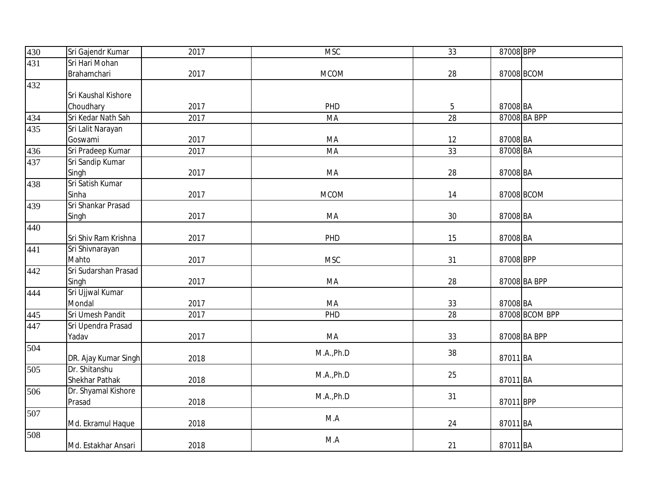| 430 | Sri Gajendr Kumar    | 2017 | <b>MSC</b>  | 33             | 87008 BPP    |                |
|-----|----------------------|------|-------------|----------------|--------------|----------------|
| 431 | Sri Hari Mohan       |      |             |                |              |                |
|     | Brahamchari          | 2017 | <b>MCOM</b> | 28             | 87008 BCOM   |                |
| 432 |                      |      |             |                |              |                |
|     | Sri Kaushal Kishore  |      |             |                |              |                |
|     | Choudhary            | 2017 | PHD         | $\overline{5}$ | 87008 BA     |                |
| 434 | Sri Kedar Nath Sah   | 2017 | MA          | 28             | 87008 BA BPP |                |
| 435 | Sri Lalit Narayan    |      |             |                |              |                |
|     | Goswami              | 2017 | MA          | 12             | 87008 BA     |                |
| 436 | Sri Pradeep Kumar    | 2017 | MA          | 33             | 87008 BA     |                |
| 437 | Sri Sandip Kumar     |      |             |                |              |                |
|     | Singh                | 2017 | MA          | 28             | 87008 BA     |                |
| 438 | Sri Satish Kumar     |      |             |                |              |                |
|     | Sinha                | 2017 | <b>MCOM</b> | 14             | 87008 BCOM   |                |
| 439 | Sri Shankar Prasad   |      |             |                |              |                |
|     | Singh                | 2017 | MA          | 30             | 87008 BA     |                |
| 440 |                      |      |             |                |              |                |
|     | Sri Shiv Ram Krishna | 2017 | PHD         | 15             | 87008 BA     |                |
| 441 | Sri Shivnarayan      |      |             |                |              |                |
|     | Mahto                | 2017 | <b>MSC</b>  | 31             | 87008 BPP    |                |
| 442 | Sri Sudarshan Prasad |      |             |                |              |                |
|     | Singh                | 2017 | MA          | 28             | 87008 BA BPP |                |
| 444 | Sri Ujjwal Kumar     |      |             |                |              |                |
|     | Mondal               | 2017 | MA          | 33             | 87008 BA     |                |
| 445 | Sri Umesh Pandit     | 2017 | PHD         | 28             |              | 87008 BCOM BPP |
| 447 | Sri Upendra Prasad   |      |             |                |              |                |
|     | Yadav                | 2017 | MA          | 33             | 87008 BA BPP |                |
| 504 |                      |      | M.A., Ph.D  | 38             |              |                |
|     | DR. Ajay Kumar Singh | 2018 |             |                | 87011 BA     |                |
| 505 | Dr. Shitanshu        |      | M.A., Ph.D  | 25             |              |                |
|     | Shekhar Pathak       | 2018 |             |                | 87011 BA     |                |
| 506 | Dr. Shyamal Kishore  |      | M.A., Ph.D  | 31             |              |                |
|     | Prasad               | 2018 |             |                | 87011 BPP    |                |
| 507 |                      |      | M.A         |                |              |                |
|     | Md. Ekramul Haque    | 2018 |             | 24             | 87011 BA     |                |
| 508 |                      |      | M.A         |                |              |                |
|     | Md. Estakhar Ansari  | 2018 |             | 21             | 87011 BA     |                |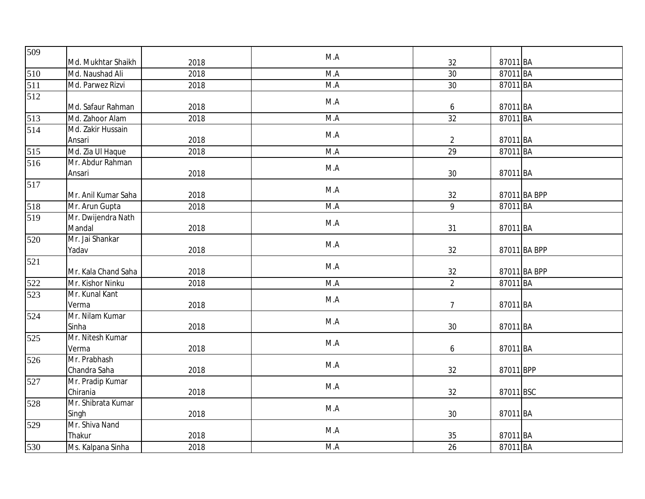| 509 |                     |      | M.A |                 |           |              |
|-----|---------------------|------|-----|-----------------|-----------|--------------|
|     | Md. Mukhtar Shaikh  | 2018 |     | 32              | 87011 BA  |              |
| 510 | Md. Naushad Ali     | 2018 | M.A | 30              | 87011 BA  |              |
| 511 | Md. Parwez Rizvi    | 2018 | M.A | 30              | 87011 BA  |              |
| 512 |                     |      | M.A |                 |           |              |
|     | Md. Safaur Rahman   | 2018 |     | 6               | 87011 BA  |              |
| 513 | Md. Zahoor Alam     | 2018 | M.A | $\overline{32}$ | 87011 BA  |              |
| 514 | Md. Zakir Hussain   |      | M.A |                 |           |              |
|     | Ansari              | 2018 |     | $\overline{2}$  | 87011 BA  |              |
| 515 | Md. Zia Ul Haque    | 2018 | M.A | 29              | 87011 BA  |              |
| 516 | Mr. Abdur Rahman    |      | M.A |                 |           |              |
|     | Ansari              | 2018 |     | 30              | 87011 BA  |              |
| 517 |                     |      | M.A |                 |           |              |
|     | Mr. Anil Kumar Saha | 2018 |     | 32              |           | 87011 BA BPP |
| 518 | Mr. Arun Gupta      | 2018 | M.A | 9               | 87011 BA  |              |
| 519 | Mr. Dwijendra Nath  |      | M.A |                 |           |              |
|     | Mandal              | 2018 |     | 31              | 87011 BA  |              |
| 520 | Mr. Jai Shankar     |      | M.A |                 |           |              |
|     | Yadav               | 2018 |     | 32              |           | 87011 BA BPP |
| 521 |                     |      | M.A |                 |           |              |
|     | Mr. Kala Chand Saha | 2018 |     | 32              |           | 87011 BA BPP |
| 522 | Mr. Kishor Ninku    | 2018 | M.A | $\overline{2}$  | 87011 BA  |              |
| 523 | Mr. Kunal Kant      |      | M.A |                 |           |              |
|     | Verma               | 2018 |     | $\overline{7}$  | 87011 BA  |              |
| 524 | Mr. Nilam Kumar     |      | M.A |                 |           |              |
|     | Sinha               | 2018 |     | 30              | 87011 BA  |              |
| 525 | Mr. Nitesh Kumar    |      | M.A |                 |           |              |
|     | Verma               | 2018 |     | 6               | 87011 BA  |              |
| 526 | Mr. Prabhash        |      | M.A |                 |           |              |
|     | Chandra Saha        | 2018 |     | 32              | 87011 BPP |              |
| 527 | Mr. Pradip Kumar    |      | M.A |                 |           |              |
|     | Chirania            | 2018 |     | 32              | 87011 BSC |              |
| 528 | Mr. Shibrata Kumar  |      | M.A |                 |           |              |
|     | Singh               | 2018 |     | 30              | 87011 BA  |              |
| 529 | Mr. Shiva Nand      |      | M.A |                 |           |              |
|     | Thakur              | 2018 |     | 35              | 87011 BA  |              |
| 530 | Ms. Kalpana Sinha   | 2018 | M.A | 26              | 87011 BA  |              |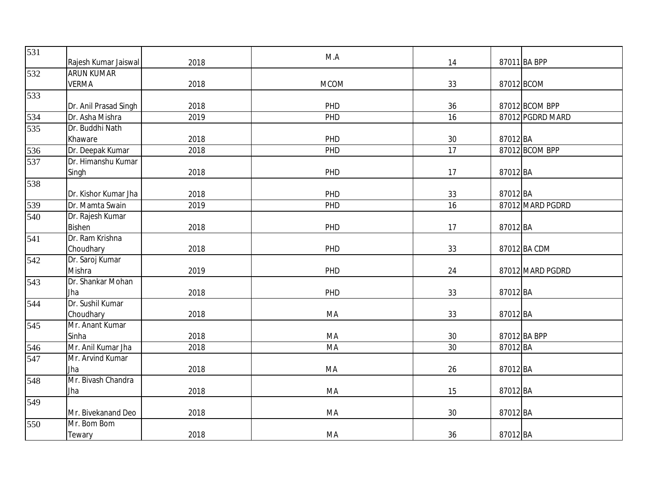| 531 | Rajesh Kumar Jaiswal  | 2018 | M.A         | 14 |          | 87011 BA BPP     |
|-----|-----------------------|------|-------------|----|----------|------------------|
| 532 | <b>ARUN KUMAR</b>     |      |             |    |          |                  |
|     | <b>VERMA</b>          | 2018 | <b>MCOM</b> | 33 |          | 87012 BCOM       |
| 533 |                       |      |             |    |          |                  |
|     | Dr. Anil Prasad Singh | 2018 | PHD         | 36 |          | 87012 BCOM BPP   |
| 534 | Dr. Asha Mishra       | 2019 | PHD         | 16 |          | 87012 PGDRD MARD |
| 535 | Dr. Buddhi Nath       |      |             |    |          |                  |
|     | Khaware               | 2018 | PHD         | 30 | 87012 BA |                  |
| 536 | Dr. Deepak Kumar      | 2018 | PHD         | 17 |          | 87012 BCOM BPP   |
| 537 | Dr. Himanshu Kumar    |      |             |    |          |                  |
|     | Singh                 | 2018 | PHD         | 17 | 87012 BA |                  |
| 538 |                       |      |             |    |          |                  |
|     | Dr. Kishor Kumar Jha  | 2018 | PHD         | 33 | 87012 BA |                  |
| 539 | Dr. Mamta Swain       | 2019 | PHD         | 16 |          | 87012 MARD PGDRD |
| 540 | Dr. Rajesh Kumar      |      |             |    |          |                  |
|     | <b>Bishen</b>         | 2018 | PHD         | 17 | 87012 BA |                  |
| 541 | Dr. Ram Krishna       |      |             |    |          |                  |
|     | Choudhary             | 2018 | PHD         | 33 |          | 87012 BA CDM     |
| 542 | Dr. Saroj Kumar       |      |             |    |          |                  |
|     | Mishra                | 2019 | PHD         | 24 |          | 87012 MARD PGDRD |
| 543 | Dr. Shankar Mohan     |      |             |    |          |                  |
|     | Jha                   | 2018 | PHD         | 33 | 87012 BA |                  |
| 544 | Dr. Sushil Kumar      |      |             |    |          |                  |
|     | Choudhary             | 2018 | MA          | 33 | 87012 BA |                  |
| 545 | Mr. Anant Kumar       |      |             |    |          |                  |
|     | Sinha                 | 2018 | MA          | 30 |          | 87012 BA BPP     |
| 546 | Mr. Anil Kumar Jha    | 2018 | MA          | 30 | 87012 BA |                  |
| 547 | Mr. Arvind Kumar      |      |             |    |          |                  |
|     | Jha                   | 2018 | MA          | 26 | 87012 BA |                  |
| 548 | Mr. Bivash Chandra    |      |             |    |          |                  |
|     | Jha                   | 2018 | MA          | 15 | 87012 BA |                  |
| 549 |                       |      |             |    |          |                  |
|     | Mr. Bivekanand Deo    | 2018 | MA          | 30 | 87012 BA |                  |
| 550 | Mr. Bom Bom           |      |             |    |          |                  |
|     | Tewary                | 2018 | MA          | 36 | 87012 BA |                  |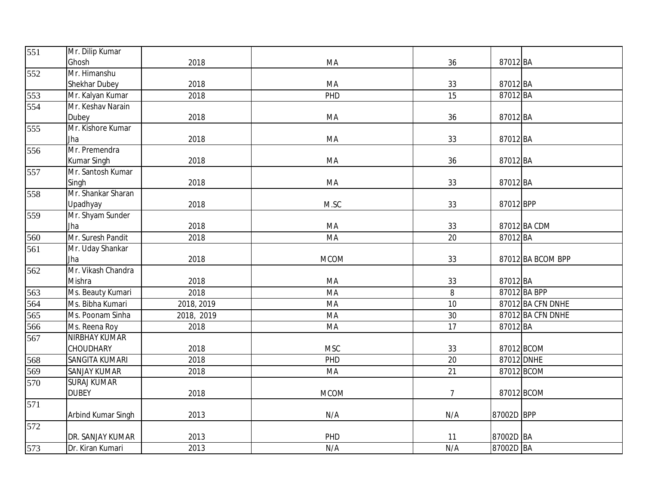| 551 | Mr. Dilip Kumar       |            |             |                |            |                   |
|-----|-----------------------|------------|-------------|----------------|------------|-------------------|
|     | Ghosh                 | 2018       | MA          | 36             | 87012 BA   |                   |
| 552 | Mr. Himanshu          |            |             |                |            |                   |
|     | Shekhar Dubey         | 2018       | MA          | 33             | 87012 BA   |                   |
| 553 | Mr. Kalyan Kumar      | 2018       | PHD         | 15             | 87012 BA   |                   |
| 554 | Mr. Keshav Narain     |            |             |                |            |                   |
|     | Dubey                 | 2018       | MA          | 36             | 87012 BA   |                   |
| 555 | Mr. Kishore Kumar     |            |             |                |            |                   |
|     | Jha                   | 2018       | MA          | 33             | 87012 BA   |                   |
| 556 | Mr. Premendra         |            |             |                |            |                   |
|     | Kumar Singh           | 2018       | MA          | 36             | 87012 BA   |                   |
| 557 | Mr. Santosh Kumar     |            |             |                |            |                   |
|     | Singh                 | 2018       | MA          | 33             | 87012 BA   |                   |
| 558 | Mr. Shankar Sharan    |            |             |                |            |                   |
|     | Upadhyay              | 2018       | M.SC        | 33             | 87012 BPP  |                   |
| 559 | Mr. Shyam Sunder      |            |             |                |            |                   |
|     | Jha                   | 2018       | MA          | 33             |            | 87012 BA CDM      |
| 560 | Mr. Suresh Pandit     | 2018       | MA          | 20             | 87012 BA   |                   |
| 561 | Mr. Uday Shankar      |            |             |                |            |                   |
|     | Jha                   | 2018       | <b>MCOM</b> | 33             |            | 87012 BA BCOM BPP |
| 562 | Mr. Vikash Chandra    |            |             |                |            |                   |
|     | Mishra                | 2018       | MA          | 33             | 87012 BA   |                   |
| 563 | Ms. Beauty Kumari     | 2018       | MA          | $\, 8$         |            | 87012 BA BPP      |
| 564 | Ms. Bibha Kumari      | 2018, 2019 | MA          | 10             |            | 87012 BA CFN DNHE |
| 565 | Ms. Poonam Sinha      | 2018, 2019 | MA          | 30             |            | 87012 BA CFN DNHE |
| 566 | Ms. Reena Roy         | 2018       | MA          | 17             | 87012 BA   |                   |
| 567 | <b>NIRBHAY KUMAR</b>  |            |             |                |            |                   |
|     | CHOUDHARY             | 2018       | <b>MSC</b>  | 33             |            | 87012 BCOM        |
| 568 | <b>SANGITA KUMARI</b> | 2018       | PHD         | 20             | 87012 DNHE |                   |
| 569 | <b>SANJAY KUMAR</b>   | 2018       | MA          | 21             |            | 87012 BCOM        |
| 570 | <b>SURAJ KUMAR</b>    |            |             |                |            |                   |
|     | <b>DUBEY</b>          | 2018       | <b>MCOM</b> | $\overline{7}$ |            | 87012 BCOM        |
| 571 |                       |            |             |                |            |                   |
|     | Arbind Kumar Singh    | 2013       | N/A         | N/A            | 87002D BPP |                   |
| 572 |                       |            |             |                |            |                   |
|     | DR. SANJAY KUMAR      | 2013       | PHD         | 11             | 87002D BA  |                   |
| 573 | Dr. Kiran Kumari      | 2013       | N/A         | N/A            | 87002D BA  |                   |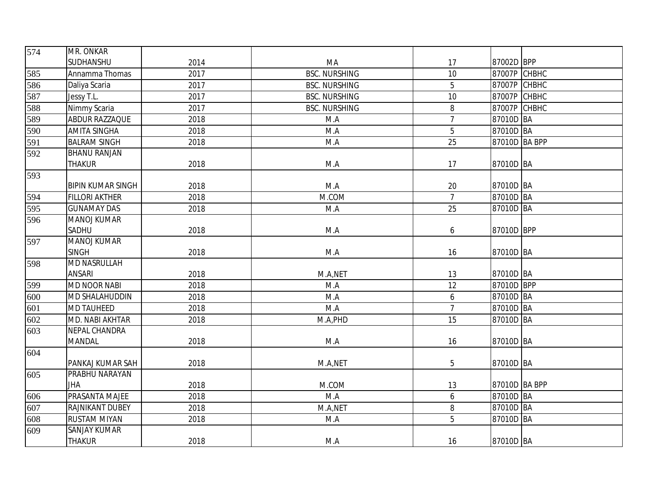| 574              | MR. ONKAR                |      |                      |                |               |  |
|------------------|--------------------------|------|----------------------|----------------|---------------|--|
|                  | SUDHANSHU                | 2014 | MA                   | 17             | 87002D BPP    |  |
| 585              | Annamma Thomas           | 2017 | <b>BSC. NURSHING</b> | 10             | 87007P CHBHC  |  |
| 586              | Daliya Scaria            | 2017 | <b>BSC. NURSHING</b> | 5              | 87007P CHBHC  |  |
| 587              | Jessy T.L.               | 2017 | <b>BSC. NURSHING</b> | 10             | 87007P CHBHC  |  |
| 588              | Nimmy Scaria             | 2017 | <b>BSC. NURSHING</b> | 8              | 87007P CHBHC  |  |
| 589              | ABDUR RAZZAQUE           | 2018 | M.A                  | $\overline{7}$ | 87010D BA     |  |
| 590              | <b>AMITA SINGHA</b>      | 2018 | M.A                  | 5              | 87010D BA     |  |
| 591              | <b>BALRAM SINGH</b>      | 2018 | M.A                  | 25             | 87010D BA BPP |  |
| 592              | <b>BHANU RANJAN</b>      |      |                      |                |               |  |
|                  | <b>THAKUR</b>            | 2018 | M.A                  | 17             | 87010D BA     |  |
| 593              |                          |      |                      |                |               |  |
|                  | <b>BIPIN KUMAR SINGH</b> | 2018 | M.A                  | 20             | 87010D BA     |  |
| 594              | <b>FILLORI AKTHER</b>    | 2018 | M.COM                | $\overline{7}$ | 87010D BA     |  |
| 595              | <b>GUNAMAY DAS</b>       | 2018 | M.A                  | 25             | 87010D BA     |  |
| $\overline{5}96$ | <b>MANOJ KUMAR</b>       |      |                      |                |               |  |
|                  | SADHU                    | 2018 | M.A                  | 6              | 87010D BPP    |  |
| 597              | <b>MANOJ KUMAR</b>       |      |                      |                |               |  |
|                  | <b>SINGH</b>             | 2018 | M.A                  | 16             | 87010D BA     |  |
| 598              | <b>MD NASRULLAH</b>      |      |                      |                |               |  |
|                  | <b>ANSARI</b>            | 2018 | M.A,NET              | 13             | 87010D BA     |  |
| 599              | <b>MD NOOR NABI</b>      | 2018 | M.A                  | 12             | 87010D BPP    |  |
| 600              | MD SHALAHUDDIN           | 2018 | M.A                  | 6              | 87010D BA     |  |
| 601              | <b>MD TAUHEED</b>        | 2018 | M.A                  | $\overline{7}$ | 87010D BA     |  |
| 602              | MD. NABI AKHTAR          | 2018 | M.A, PHD             | 15             | 87010D BA     |  |
| 603              | <b>NEPAL CHANDRA</b>     |      |                      |                |               |  |
|                  | <b>MANDAL</b>            | 2018 | M.A                  | 16             | 87010D BA     |  |
| 604              |                          |      |                      |                |               |  |
|                  | PANKAJ KUMAR SAH         | 2018 | M.A,NET              | 5              | 87010D BA     |  |
| 605              | PRABHU NARAYAN           |      |                      |                |               |  |
|                  | <b>JHA</b>               | 2018 | M.COM                | 13             | 87010D BA BPP |  |
| 606              | PRASANTA MAJEE           | 2018 | M.A                  | 6              | 87010D BA     |  |
| $\overline{607}$ | <b>RAJNIKANT DUBEY</b>   | 2018 | M.A,NET              | 8              | 87010D BA     |  |
| 608              | <b>RUSTAM MIYAN</b>      | 2018 | M.A                  | 5              | 87010D BA     |  |
| 609              | <b>SANJAY KUMAR</b>      |      |                      |                |               |  |
|                  | <b>THAKUR</b>            | 2018 | M.A                  | 16             | 87010D BA     |  |